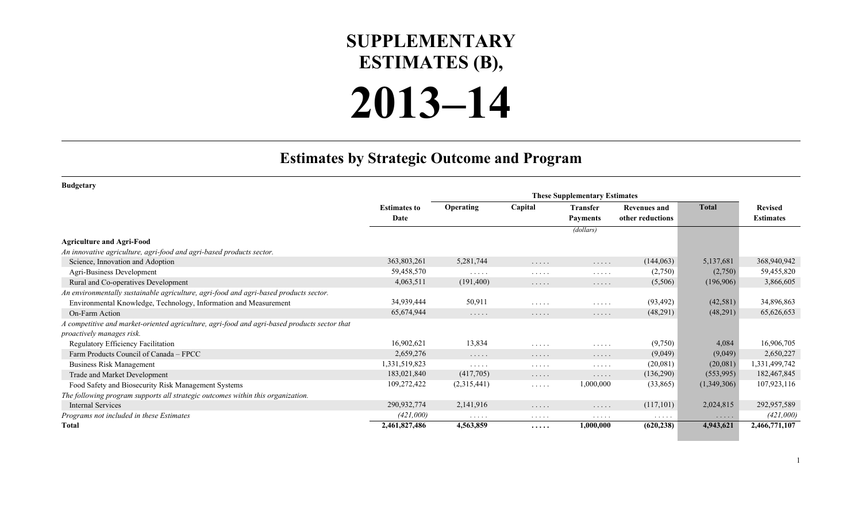## **SUPPLEMENTARY ESTIMATES (B),**

## **2013–14**

## **Estimates by Strategic Outcome and Program**

| <b>Budgetary</b>                                                                             |                     |                                    |                      |                 |                     |              |                  |
|----------------------------------------------------------------------------------------------|---------------------|------------------------------------|----------------------|-----------------|---------------------|--------------|------------------|
|                                                                                              |                     |                                    |                      |                 |                     |              |                  |
|                                                                                              | <b>Estimates to</b> | <b>Operating</b>                   | Capital              | <b>Transfer</b> | <b>Revenues and</b> | <b>Total</b> | <b>Revised</b>   |
|                                                                                              | Date                |                                    |                      | <b>Payments</b> | other reductions    |              | <b>Estimates</b> |
|                                                                                              |                     |                                    |                      | (dollars)       |                     |              |                  |
| <b>Agriculture and Agri-Food</b>                                                             |                     |                                    |                      |                 |                     |              |                  |
| An innovative agriculture, agri-food and agri-based products sector.                         |                     |                                    |                      |                 |                     |              |                  |
| Science, Innovation and Adoption                                                             | 363,803,261         | 5,281,744                          | .                    | $\cdots$        | (144, 063)          | 5,137,681    | 368,940,942      |
| Agri-Business Development                                                                    | 59,458,570          | $\sim$ $\sim$ $\sim$ $\sim$ $\sim$ | $\cdots$             | $\cdots$        | (2,750)             | (2,750)      | 59,455,820       |
| Rural and Co-operatives Development                                                          | 4,063,511           | (191,400)                          | .                    | $\cdots$        | (5,506)             | (196,906)    | 3,866,605        |
| An environmentally sustainable agriculture, agri-food and agri-based products sector.        |                     |                                    |                      |                 |                     |              |                  |
| Environmental Knowledge, Technology, Information and Measurement                             | 34,939,444          | 50,911                             | .                    | $\cdots$        | (93, 492)           | (42, 581)    | 34,896,863       |
| On-Farm Action                                                                               | 65,674,944          | $\cdots$                           | .                    | .               | (48,291)            | (48,291)     | 65,626,653       |
| A competitive and market-oriented agriculture, agri-food and agri-based products sector that |                     |                                    |                      |                 |                     |              |                  |
| proactively manages risk.                                                                    |                     |                                    |                      |                 |                     |              |                  |
| Regulatory Efficiency Facilitation                                                           | 16,902,621          | 13,834                             | .                    | 1.1.1.1         | (9,750)             | 4,084        | 16,906,705       |
| Farm Products Council of Canada – FPCC                                                       | 2,659,276           | $\cdots$                           | $\cdots\cdots\cdots$ | $\cdots$        | (9,049)             | (9,049)      | 2,650,227        |
| Business Risk Management                                                                     | 1,331,519,823       | $\sim$ $\sim$ $\sim$ $\sim$ $\sim$ | .                    | $\cdots$        | (20,081)            | (20,081)     | 1,331,499,742    |
| Trade and Market Development                                                                 | 183,021,840         | (417,705)                          | .                    | $\cdots$        | (136,290)           | (553,995)    | 182,467,845      |
| Food Safety and Biosecurity Risk Management Systems                                          | 109,272,422         | (2,315,441)                        | $\cdots$             | 1,000,000       | (33,865)            | (1,349,306)  | 107,923,116      |
| The following program supports all strategic outcomes within this organization.              |                     |                                    |                      |                 |                     |              |                  |
| <b>Internal Services</b>                                                                     | 290,932,774         | 2,141,916                          | $\cdots$             | $\cdots$        | (117,101)           | 2,024,815    | 292,957,589      |
| Programs not included in these Estimates                                                     | (421,000)           | $\cdots$                           | $\cdots$             | $\cdots$        |                     | $\cdots$     | (421,000)        |
| <b>Total</b>                                                                                 | 2,461,827,486       | 4,563,859                          | .                    | 1,000,000       | (620, 238)          | 4,943,621    | 2,466,771,107    |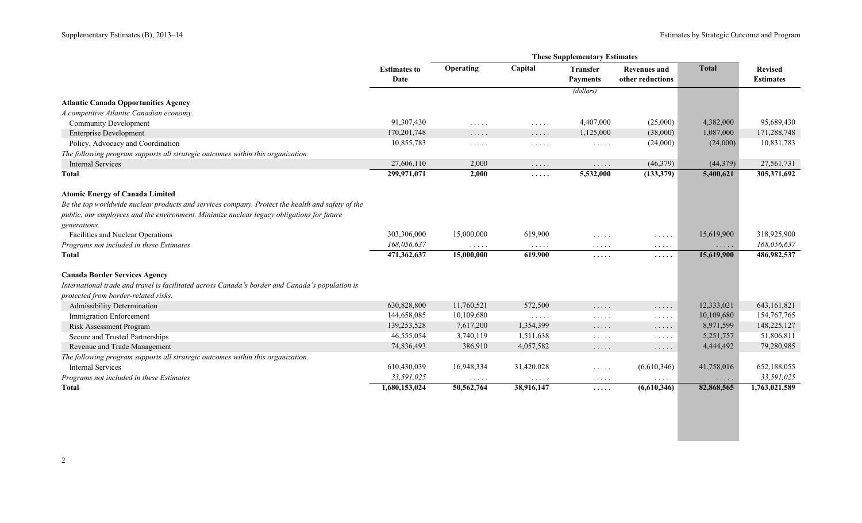a s

|                                                                                                  |                             | <b>These Supplementary Estimates</b> |                                               |                                                                   |                                         |              |                                    |  |
|--------------------------------------------------------------------------------------------------|-----------------------------|--------------------------------------|-----------------------------------------------|-------------------------------------------------------------------|-----------------------------------------|--------------|------------------------------------|--|
|                                                                                                  | <b>Estimates to</b><br>Date | Operating                            | Capital                                       | <b>Transfer</b><br><b>Payments</b>                                | <b>Revenues and</b><br>other reductions | <b>Total</b> | <b>Revised</b><br><b>Estimates</b> |  |
|                                                                                                  |                             |                                      |                                               | (dollars)                                                         |                                         |              |                                    |  |
| <b>Atlantic Canada Opportunities Agency</b>                                                      |                             |                                      |                                               |                                                                   |                                         |              |                                    |  |
| A competitive Atlantic Canadian economy.                                                         |                             |                                      |                                               |                                                                   |                                         |              |                                    |  |
| <b>Community Development</b>                                                                     | 91,307,430                  |                                      |                                               | 4,407,000                                                         | (25,000)                                | 4,382,000    | 95,689,430                         |  |
| <b>Enterprise Development</b>                                                                    | 170, 201, 748               | $\sim$ $\sim$ $\sim$ $\sim$ $\sim$   | $\sim$ $\sim$ $\sim$ $\sim$ $\sim$            | 1,125,000                                                         | (38,000)                                | 1,087,000    | 171,288,748                        |  |
| Policy, Advocacy and Coordination                                                                | 10,855,783                  | $\sim$ $\sim$ $\sim$ $\sim$ $\sim$   | $\ldots$                                      |                                                                   | (24,000)                                | (24,000)     | 10,831,783                         |  |
| The following program supports all strategic outcomes within this organization.                  |                             | $\sim$ $\sim$ $\sim$ $\sim$ $\sim$   | $\sim$ $\sim$ $\sim$ $\sim$ $\sim$            | $\mathbb{Z}^n$ . $\mathbb{Z}^n$ , $\mathbb{Z}^n$ , $\mathbb{Z}^n$ |                                         |              |                                    |  |
| <b>Internal Services</b>                                                                         | 27,606,110                  | 2,000                                |                                               |                                                                   | (46,379)                                | (44,379)     | 27,561,731                         |  |
| <b>Total</b>                                                                                     | 299,971,071                 | 2,000                                | $\sim$ $\sim$ $\sim$ $\sim$ $\sim$            | $\mathbb{Z}^n$ . $\mathbb{Z}^n$ , $\mathbb{Z}^n$<br>5,532,000     | (133, 379)                              | 5,400,621    | 305,371,692                        |  |
|                                                                                                  |                             |                                      | .                                             |                                                                   |                                         |              |                                    |  |
| <b>Atomic Energy of Canada Limited</b>                                                           |                             |                                      |                                               |                                                                   |                                         |              |                                    |  |
| Be the top worldwide nuclear products and services company. Protect the health and safety of the |                             |                                      |                                               |                                                                   |                                         |              |                                    |  |
| public, our employees and the environment. Minimize nuclear legacy obligations for future        |                             |                                      |                                               |                                                                   |                                         |              |                                    |  |
| generations.                                                                                     |                             |                                      |                                               |                                                                   |                                         |              |                                    |  |
| Facilities and Nuclear Operations                                                                | 303,306,000                 | 15,000,000                           | 619,900                                       | 1.1.1.1                                                           | $\cdots$                                | 15,619,900   | 318,925,900                        |  |
| Programs not included in these Estimates                                                         | 168,056,637                 | $\sim$ $\sim$ $\sim$ $\sim$ $\sim$   | $\sim$ $\sim$ $\sim$ $\sim$ $\sim$            | $\ldots$                                                          | $\sim$ $\sim$ $\sim$ $\sim$ $\sim$      | $\cdots$     | 168,056,637                        |  |
| <b>Total</b>                                                                                     | 471,362,637                 | 15,000,000                           | 619,900                                       | .                                                                 | .                                       | 15,619,900   | 486,982,537                        |  |
|                                                                                                  |                             |                                      |                                               |                                                                   |                                         |              |                                    |  |
| <b>Canada Border Services Agency</b>                                                             |                             |                                      |                                               |                                                                   |                                         |              |                                    |  |
| International trade and travel is facilitated across Canada's border and Canada's population is  |                             |                                      |                                               |                                                                   |                                         |              |                                    |  |
| protected from border-related risks.                                                             |                             |                                      |                                               |                                                                   |                                         |              |                                    |  |
| Admissibility Determination                                                                      | 630,828,800                 | 11,760,521                           | 572,500                                       | $\ldots$                                                          | $\cdots$                                | 12,333,021   | 643, 161, 821                      |  |
| <b>Immigration Enforcement</b>                                                                   | 144,658,085                 | 10,109,680                           | $\mathbb{Z}^2$ . In the set of $\mathbb{Z}^2$ | $\cdots$                                                          | $\cdots$                                | 10,109,680   | 154, 767, 765                      |  |
| Risk Assessment Program                                                                          | 139,253,528                 | 7,617,200                            | 1,354,399                                     | $\ldots$                                                          | $\cdots$                                | 8,971,599    | 148,225,127                        |  |
| Secure and Trusted Partnerships                                                                  | 46,555,054                  | 3,740,119                            | 1,511,638                                     | $\mathcal{L}^{\mathcal{A}}$ . The set of $\mathcal{A}$            | $\cdots$                                | 5,251,757    | 51,806,811                         |  |
| Revenue and Trade Management                                                                     | 74,836,493                  | 386,910                              | 4,057,582                                     | $\sim$ $\sim$ $\sim$ $\sim$ $\sim$                                | $\cdots$                                | 4,444,492    | 79,280,985                         |  |
| The following program supports all strategic outcomes within this organization.                  |                             |                                      |                                               |                                                                   |                                         |              |                                    |  |
| <b>Internal Services</b>                                                                         | 610,430,039                 | 16,948,334                           | 31,420,028                                    | $\mathcal{L}^{\mathcal{A}}$ . The set of $\mathcal{A}$            | (6,610,346)                             | 41,758,016   | 652,188,055                        |  |
| Programs not included in these Estimates                                                         | 33,591,025                  | $\cdots\cdots\cdots$                 | $\sim$ $\sim$ $\sim$ $\sim$ $\sim$            | $\cdots$                                                          | .                                       | .            | 33,591,025                         |  |
| <b>Total</b>                                                                                     | 1,680,153,024               |                                      |                                               |                                                                   |                                         |              |                                    |  |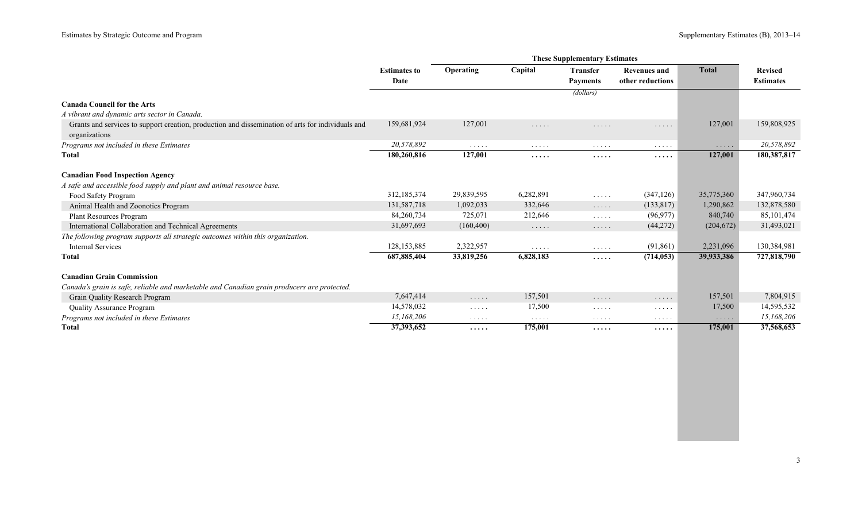|                                                                                                                    | <b>Estimates to</b> | Operating                              | Capital                            | <b>Transfer</b>                                                   | <b>Revenues and</b> | <b>Total</b> | <b>Revised</b>   |
|--------------------------------------------------------------------------------------------------------------------|---------------------|----------------------------------------|------------------------------------|-------------------------------------------------------------------|---------------------|--------------|------------------|
|                                                                                                                    | Date                |                                        |                                    | <b>Payments</b>                                                   | other reductions    |              | <b>Estimates</b> |
|                                                                                                                    |                     |                                        |                                    | (dollars)                                                         |                     |              |                  |
| <b>Canada Council for the Arts</b>                                                                                 |                     |                                        |                                    |                                                                   |                     |              |                  |
| A vibrant and dynamic arts sector in Canada.                                                                       |                     |                                        |                                    |                                                                   |                     |              |                  |
| Grants and services to support creation, production and dissemination of arts for individuals and<br>organizations | 159,681,924         | 127,001                                | .                                  | .                                                                 | .                   | 127,001      | 159,808,925      |
| Programs not included in these Estimates                                                                           | 20,578,892          | $\cdots$                               | $\cdots$                           | $\cdots$                                                          | $\cdots$            | .            | 20,578,892       |
| <b>Total</b>                                                                                                       | 180,260,816         | 127,001                                | .                                  | .                                                                 | .                   | 127,001      | 180,387,817      |
| <b>Canadian Food Inspection Agency</b>                                                                             |                     |                                        |                                    |                                                                   |                     |              |                  |
| A safe and accessible food supply and plant and animal resource base.                                              |                     |                                        |                                    |                                                                   |                     |              |                  |
| Food Safety Program                                                                                                | 312,185,374         | 29,839,595                             | 6,282,891                          | $\mathbb{Z}^n$ . $\mathbb{Z}^n$ , $\mathbb{Z}^n$ , $\mathbb{Z}^n$ | (347, 126)          | 35,775,360   | 347,960,734      |
| Animal Health and Zoonotics Program                                                                                | 131,587,718         | 1,092,033                              | 332,646                            | 1.1.1.1                                                           | (133, 817)          | 1,290,862    | 132,878,580      |
| <b>Plant Resources Program</b>                                                                                     | 84,260,734          | 725,071                                | 212,646                            | $\mathcal{L}^{\mathcal{A}}$ . In the set of $\mathcal{A}$         | (96, 977)           | 840,740      | 85, 101, 474     |
| International Collaboration and Technical Agreements                                                               | 31,697,693          | (160, 400)                             | $\ldots$                           | $\cdots$                                                          | (44, 272)           | (204, 672)   | 31,493,021       |
| The following program supports all strategic outcomes within this organization.                                    |                     |                                        |                                    |                                                                   |                     |              |                  |
| <b>Internal Services</b>                                                                                           | 128, 153, 885       | 2,322,957                              | $\cdots$                           | $\mathcal{L}^{\mathcal{A}}$ . The set of $\mathcal{A}$            | (91, 861)           | 2,231,096    | 130,384,981      |
| Total                                                                                                              | 687, 885, 404       | 33,819,256                             | 6,828,183                          | .                                                                 | (714, 053)          | 39,933,386   | 727,818,790      |
| <b>Canadian Grain Commission</b>                                                                                   |                     |                                        |                                    |                                                                   |                     |              |                  |
| Canada's grain is safe, reliable and marketable and Canadian grain producers are protected.                        |                     |                                        |                                    |                                                                   |                     |              |                  |
| Grain Quality Research Program                                                                                     | 7,647,414           | $\ldots$                               | 157,501                            | $\sim$ $\sim$ $\sim$ $\sim$ $\sim$                                | $\cdots$            | 157,501      | 7,804,915        |
| <b>Quality Assurance Program</b>                                                                                   | 14,578,032          | $\sim$ $\sim$ $\sim$ $\sim$ $\sim$     | 17,500                             | $\cdots$                                                          | $\cdots$            | 17,500       | 14,595,532       |
| Programs not included in these Estimates                                                                           | 15,168,206          | $\alpha$ , and $\alpha$ , and $\alpha$ | $\sim$ $\sim$ $\sim$ $\sim$ $\sim$ | $\ldots$                                                          | $\cdots$            | $\cdots$     | 15,168,206       |
| <b>Total</b>                                                                                                       | 37,393,652          | $\cdots\cdots$                         | 175,001                            | $\cdots\cdots$                                                    | .                   | 175,001      | 37,568,653       |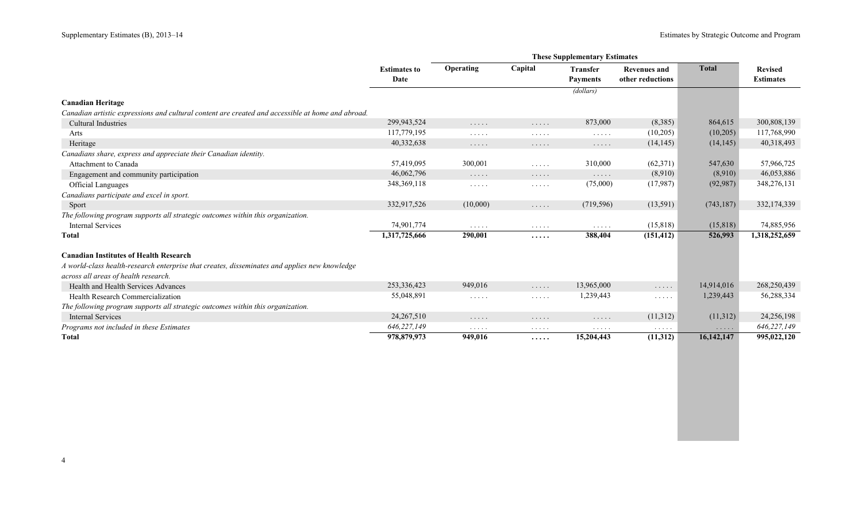|                                                                                                   | <b>Estimates to</b> | Operating                          | Capital              | <b>Transfer</b>                                        | <b>Revenues and</b>  | <b>Total</b>         | <b>Revised</b>   |
|---------------------------------------------------------------------------------------------------|---------------------|------------------------------------|----------------------|--------------------------------------------------------|----------------------|----------------------|------------------|
|                                                                                                   | Date                |                                    |                      | <b>Payments</b>                                        | other reductions     |                      | <b>Estimates</b> |
|                                                                                                   |                     |                                    |                      | (dollars)                                              |                      |                      |                  |
| <b>Canadian Heritage</b>                                                                          |                     |                                    |                      |                                                        |                      |                      |                  |
| Canadian artistic expressions and cultural content are created and accessible at home and abroad. |                     |                                    |                      |                                                        |                      |                      |                  |
| <b>Cultural Industries</b>                                                                        | 299,943,524         | $\cdots$                           | $\cdots$             | 873,000                                                | (8,385)              | 864,615              | 300,808,139      |
| Arts                                                                                              | 117,779,195         | $\cdots$                           | $\cdots$             | $\mathcal{L}^{\mathcal{A}}$ . The set of $\mathcal{A}$ | (10,205)             | (10,205)             | 117,768,990      |
| Heritage                                                                                          | 40,332,638          | $\cdots\cdots\cdots$               | .                    | $\cdots\cdots\cdots$                                   | (14, 145)            | (14, 145)            | 40,318,493       |
| Canadians share, express and appreciate their Canadian identity.                                  |                     |                                    |                      |                                                        |                      |                      |                  |
| Attachment to Canada                                                                              | 57,419,095          | 300,001                            | $\cdots$             | 310,000                                                | (62, 371)            | 547,630              | 57,966,725       |
| Engagement and community participation                                                            | 46,062,796          | $\ldots$                           | $\cdots$             | $\ldots$                                               | (8,910)              | (8,910)              | 46,053,886       |
| <b>Official Languages</b>                                                                         | 348, 369, 118       | $\cdots \cdots \cdots$             | $\cdots\cdots\cdots$ | (75,000)                                               | (17, 987)            | (92, 987)            | 348,276,131      |
| Canadians participate and excel in sport.                                                         |                     |                                    |                      |                                                        |                      |                      |                  |
| Sport                                                                                             | 332,917,526         | (10,000)                           | $\ldots$             | (719, 596)                                             | (13,591)             | (743, 187)           | 332,174,339      |
| The following program supports all strategic outcomes within this organization.                   |                     |                                    |                      |                                                        |                      |                      |                  |
| <b>Internal Services</b>                                                                          | 74,901,774          | $\sim$ $\sim$ $\sim$ $\sim$ $\sim$ | .                    | $\mathcal{L}^{\mathcal{A}}$ . The set of $\mathcal{A}$ | (15, 818)            | (15, 818)            | 74,885,956       |
| Total                                                                                             | 1,317,725,666       | 290,001                            | .                    | 388,404                                                | (151, 412)           | 526,993              | 1,318,252,659    |
| <b>Canadian Institutes of Health Research</b>                                                     |                     |                                    |                      |                                                        |                      |                      |                  |
| A world-class health-research enterprise that creates, disseminates and applies new knowledge     |                     |                                    |                      |                                                        |                      |                      |                  |
| across all areas of health research.                                                              |                     |                                    |                      |                                                        |                      |                      |                  |
| Health and Health Services Advances                                                               | 253,336,423         | 949,016                            | .                    | 13,965,000                                             | .                    | 14,914,016           | 268,250,439      |
| Health Research Commercialization                                                                 | 55,048,891          | $\cdots$                           | $\cdots$             | 1,239,443                                              | $\cdots$             | 1,239,443            | 56,288,334       |
| The following program supports all strategic outcomes within this organization.                   |                     |                                    |                      |                                                        |                      |                      |                  |
| <b>Internal Services</b>                                                                          | 24,267,510          | $\sim$ $\sim$ $\sim$ $\sim$ $\sim$ | .                    | $\cdots$                                               | (11,312)             | (11,312)             | 24,256,198       |
| Programs not included in these Estimates                                                          | 646,227,149         | $\cdots\cdots\cdots$               | $\cdots$             | $\cdots\cdots\cdots$                                   | $\cdots\cdots\cdots$ | $\cdots\cdots\cdots$ | 646,227,149      |
| <b>Total</b>                                                                                      | 978,879,973         | 949,016                            | .                    | 15,204,443                                             | (11,312)             | 16,142,147           | 995,022,120      |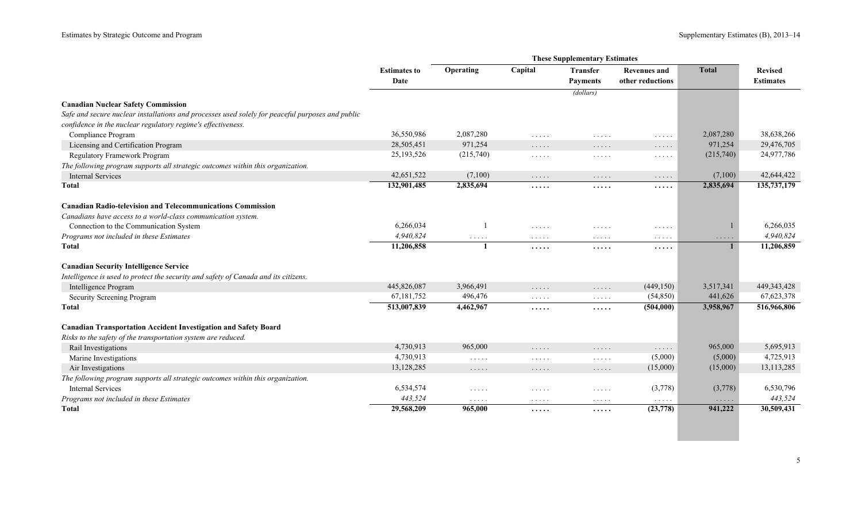|                                                                                                  | <b>Estimates to</b><br>Date | Operating                          | Capital                                   | <b>Transfer</b><br><b>Payments</b>                                | <b>Revenues and</b><br>other reductions          | <b>Total</b>                       | <b>Revised</b><br><b>Estimates</b> |
|--------------------------------------------------------------------------------------------------|-----------------------------|------------------------------------|-------------------------------------------|-------------------------------------------------------------------|--------------------------------------------------|------------------------------------|------------------------------------|
|                                                                                                  |                             |                                    |                                           | $\overline{(dollars)}$                                            |                                                  |                                    |                                    |
| <b>Canadian Nuclear Safety Commission</b>                                                        |                             |                                    |                                           |                                                                   |                                                  |                                    |                                    |
| Safe and secure nuclear installations and processes used solely for peaceful purposes and public |                             |                                    |                                           |                                                                   |                                                  |                                    |                                    |
| confidence in the nuclear regulatory regime's effectiveness.                                     |                             |                                    |                                           |                                                                   |                                                  |                                    |                                    |
| Compliance Program                                                                               | 36,550,986                  | 2,087,280                          | $\sim$ $\sim$ $\sim$ $\sim$ $\sim$        | .                                                                 | 1.1.1.1                                          | 2,087,280                          | 38,638,266                         |
| Licensing and Certification Program                                                              | 28,505,451                  | 971,254                            | $\ldots$                                  | $\cdots$                                                          | $\mathbb{Z}^2$ . $\mathbb{Z}^2$ , $\mathbb{Z}^2$ | 971,254                            | 29,476,705                         |
| Regulatory Framework Program                                                                     | 25, 193, 526                | (215,740)                          | $\sim$ $\sim$ $\sim$ $\sim$ $\sim$        | $\cdots$                                                          | $\cdots$                                         | (215,740)                          | 24,977,786                         |
| The following program supports all strategic outcomes within this organization.                  |                             |                                    |                                           |                                                                   |                                                  |                                    |                                    |
| <b>Internal Services</b>                                                                         | 42,651,522                  | (7,100)                            | $\ldots$                                  | $\ldots$                                                          | $\ldots$                                         | (7,100)                            | 42,644,422                         |
| Total                                                                                            | 132,901,485                 | 2,835,694                          | .                                         | .                                                                 | .                                                | 2,835,694                          | 135,737,179                        |
| <b>Canadian Radio-television and Telecommunications Commission</b>                               |                             |                                    |                                           |                                                                   |                                                  |                                    |                                    |
| Canadians have access to a world-class communication system.                                     |                             |                                    |                                           |                                                                   |                                                  |                                    |                                    |
| Connection to the Communication System                                                           | 6,266,034                   |                                    | $\ldots$                                  | .                                                                 | .                                                |                                    | 6,266,035                          |
| Programs not included in these Estimates                                                         | 4,940,824                   | $\sim$ $\sim$ $\sim$ $\sim$ $\sim$ | $\alpha$ , $\alpha$ , $\alpha$ , $\alpha$ | .                                                                 | $\alpha$ , $\alpha$ , $\alpha$ , $\alpha$        | $\sim$ $\sim$ $\sim$ $\sim$ $\sim$ | 4,940,824                          |
| <b>Total</b>                                                                                     | 11,206,858                  |                                    | .                                         | .                                                                 | .                                                |                                    | 11,206,859                         |
| <b>Canadian Security Intelligence Service</b>                                                    |                             |                                    |                                           |                                                                   |                                                  |                                    |                                    |
| Intelligence is used to protect the security and safety of Canada and its citizens.              |                             |                                    |                                           |                                                                   |                                                  |                                    |                                    |
| Intelligence Program                                                                             | 445,826,087                 | 3,966,491                          | $\ldots$                                  | .                                                                 | (449, 150)                                       | 3,517,341                          | 449, 343, 428                      |
| Security Screening Program                                                                       | 67,181,752                  | 496,476                            | $\sim$ $\sim$ $\sim$ $\sim$ $\sim$        | $\mathbb{Z}^2$ . $\mathbb{Z}^2$ , $\mathbb{Z}^2$ , $\mathbb{Z}^2$ | (54, 850)                                        | 441,626                            | 67, 623, 378                       |
| Total                                                                                            | 513,007,839                 | 4,462,967                          | .                                         | .                                                                 | (504,000)                                        | 3,958,967                          | 516,966,806                        |
| <b>Canadian Transportation Accident Investigation and Safety Board</b>                           |                             |                                    |                                           |                                                                   |                                                  |                                    |                                    |
| Risks to the safety of the transportation system are reduced.                                    |                             |                                    |                                           |                                                                   |                                                  |                                    |                                    |
| Rail Investigations                                                                              | 4,730,913                   | 965,000                            | .                                         | $\ldots$                                                          | $\ldots$                                         | 965,000                            | 5,695,913                          |
| Marine Investigations                                                                            | 4,730,913                   | $\sim$ $\sim$ $\sim$ $\sim$ $\sim$ | $\sim$ $\sim$ $\sim$ $\sim$ $\sim$        | $\mathbb{Z}^2$ . In the $\mathbb{Z}^2$                            | (5,000)                                          | (5,000)                            | 4,725,913                          |
| Air Investigations                                                                               | 13,128,285                  | $\sim$ $\sim$ $\sim$ $\sim$ $\sim$ | $\cdots$                                  | $\ldots$                                                          | (15,000)                                         | (15,000)                           | 13, 113, 285                       |
| The following program supports all strategic outcomes within this organization.                  |                             |                                    |                                           |                                                                   |                                                  |                                    |                                    |
| <b>Internal Services</b>                                                                         | 6,534,574                   | $\sim$ $\sim$ $\sim$ $\sim$ $\sim$ | $\cdots$                                  | $\cdots$                                                          | (3,778)                                          | (3,778)                            | 6,530,796                          |
| Programs not included in these Estimates                                                         | 443,524                     | $\sim$ $\sim$ $\sim$ $\sim$ $\sim$ | .                                         | $\cdots\cdots\cdots$                                              | $\ldots$                                         | $\cdots$                           | 443,524                            |
| <b>T</b> otal                                                                                    | 29,568,209                  | 965,000                            | .                                         | .                                                                 | (23, 778)                                        | 941,222                            | 30,509,431                         |
|                                                                                                  |                             |                                    |                                           |                                                                   |                                                  |                                    |                                    |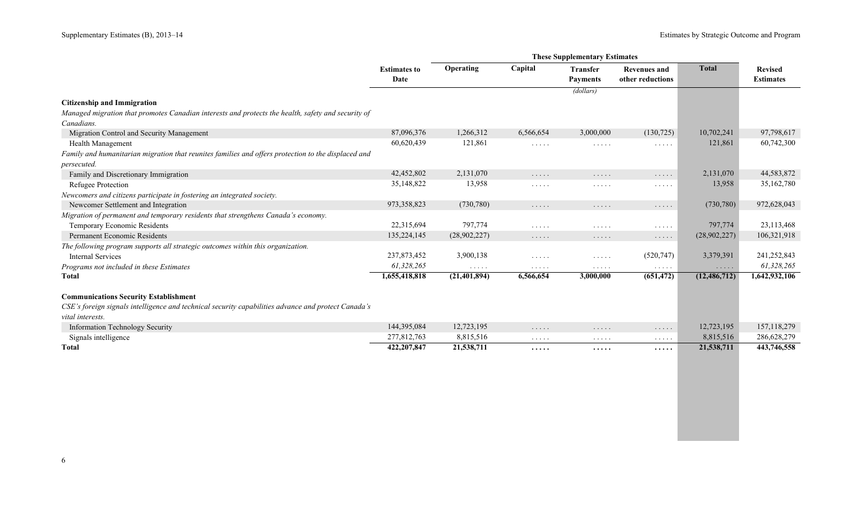|                                                                                                     | <b>Estimates to</b> | Operating      | Capital                                                | <b>Transfer</b>                           | <b>Revenues and</b>                | <b>Total</b>                       | <b>Revised</b>   |
|-----------------------------------------------------------------------------------------------------|---------------------|----------------|--------------------------------------------------------|-------------------------------------------|------------------------------------|------------------------------------|------------------|
|                                                                                                     | Date                |                |                                                        | <b>Payments</b>                           | other reductions                   |                                    | <b>Estimates</b> |
|                                                                                                     |                     |                |                                                        | (dollars)                                 |                                    |                                    |                  |
| <b>Citizenship and Immigration</b>                                                                  |                     |                |                                                        |                                           |                                    |                                    |                  |
| Managed migration that promotes Canadian interests and protects the health, safety and security of  |                     |                |                                                        |                                           |                                    |                                    |                  |
| Canadians.                                                                                          |                     |                |                                                        |                                           |                                    |                                    |                  |
| Migration Control and Security Management                                                           | 87,096,376          | 1,266,312      | 6,566,654                                              | 3,000,000                                 | (130, 725)                         | 10,702,241                         | 97,798,617       |
| <b>Health Management</b>                                                                            | 60,620,439          | 121,861        | .                                                      | $\cdots$                                  | $\cdots$                           | 121,861                            | 60,742,300       |
| Family and humanitarian migration that reunites families and offers protection to the displaced and |                     |                |                                                        |                                           |                                    |                                    |                  |
| <i>persecuted.</i>                                                                                  |                     |                |                                                        |                                           |                                    |                                    |                  |
| Family and Discretionary Immigration                                                                | 42,452,802          | 2,131,070      | $\ldots$                                               | .                                         | $\ldots$                           | 2,131,070                          | 44,583,872       |
| Refugee Protection                                                                                  | 35,148,822          | 13,958         | $\cdots\cdots\cdots$                                   | .                                         | $\cdots\cdots\cdots$               | 13,958                             | 35,162,780       |
| Newcomers and citizens participate in fostering an integrated society.                              |                     |                |                                                        |                                           |                                    |                                    |                  |
| Newcomer Settlement and Integration                                                                 | 973,358,823         | (730, 780)     | $\cdots$                                               | $\cdots$                                  | $\cdots$                           | (730, 780)                         | 972,628,043      |
| Migration of permanent and temporary residents that strengthens Canada's economy.                   |                     |                |                                                        |                                           |                                    |                                    |                  |
| Temporary Economic Residents                                                                        | 22,315,694          | 797,774        | $\mathcal{L}^{\mathcal{A}}$ . The set of $\mathcal{A}$ | $\cdots$                                  | $\cdots$                           | 797,774                            | 23,113,468       |
| <b>Permanent Economic Residents</b>                                                                 | 135,224,145         | (28,902,227)   | $\cdots$                                               | $\cdots\cdots$                            | $\cdots$                           | (28,902,227)                       | 106,321,918      |
| The following program supports all strategic outcomes within this organization.                     |                     |                |                                                        |                                           |                                    |                                    |                  |
| <b>Internal Services</b>                                                                            | 237,873,452         | 3,900,138      | $\sim$ $\sim$ $\sim$ $\sim$ $\sim$                     | $\cdots$                                  | (520, 747)                         | 3,379,391                          | 241,252,843      |
| Programs not included in these Estimates                                                            | 61,328,265          | $\cdots$       | $\cdots$                                               | $\alpha$ , $\alpha$ , $\alpha$ , $\alpha$ | $\sim$ $\sim$ $\sim$ $\sim$ $\sim$ | $\sim$ $\sim$ $\sim$ $\sim$ $\sim$ | 61,328,265       |
| <b>Total</b>                                                                                        | 1,655,418,818       | (21, 401, 894) | 6,566,654                                              | 3,000,000                                 | (651, 472)                         | (12, 486, 712)                     | 1,642,932,106    |
| <b>Communications Security Establishment</b>                                                        |                     |                |                                                        |                                           |                                    |                                    |                  |
| CSE's foreign signals intelligence and technical security capabilities advance and protect Canada's |                     |                |                                                        |                                           |                                    |                                    |                  |
| vital interests.                                                                                    |                     |                |                                                        |                                           |                                    |                                    |                  |
| Information Technology Security                                                                     | 144,395,084         | 12,723,195     | $\cdots$                                               | .                                         | $\cdots\cdots\cdots$               | 12,723,195                         | 157, 118, 279    |
| Signals intelligence                                                                                | 277,812,763         | 8,815,516      | $\cdots$                                               | $\sim$ $\sim$ $\sim$ $\sim$ $\sim$        | $\cdots$                           | 8,815,516                          | 286,628,279      |
| Total                                                                                               | 422,207,847         | 21,538,711     | .                                                      | $\cdots\cdots$                            | $\cdots\cdots$                     | 21,538,711                         | 443,746,558      |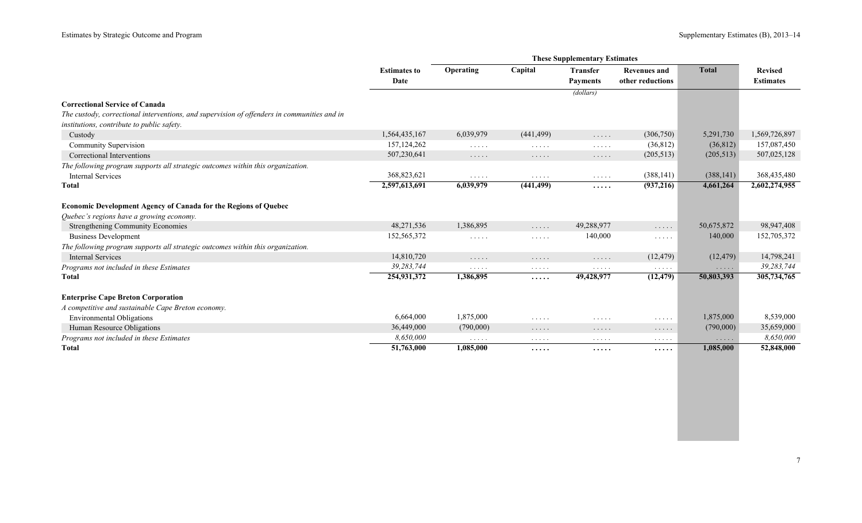|                                                                                             |                     |                                           |                                                           | <b>These Supplementary Estimates</b>   |                                                           |              |                  |
|---------------------------------------------------------------------------------------------|---------------------|-------------------------------------------|-----------------------------------------------------------|----------------------------------------|-----------------------------------------------------------|--------------|------------------|
|                                                                                             | <b>Estimates to</b> | Operating                                 | Capital                                                   | <b>Transfer</b>                        | <b>Revenues and</b>                                       | <b>Total</b> | <b>Revised</b>   |
|                                                                                             | Date                |                                           |                                                           | <b>Payments</b>                        | other reductions                                          |              | <b>Estimates</b> |
|                                                                                             |                     |                                           |                                                           | (dollars)                              |                                                           |              |                  |
| <b>Correctional Service of Canada</b>                                                       |                     |                                           |                                                           |                                        |                                                           |              |                  |
| The custody, correctional interventions, and supervision of offenders in communities and in |                     |                                           |                                                           |                                        |                                                           |              |                  |
| institutions, contribute to public safety.                                                  |                     |                                           |                                                           |                                        |                                                           |              |                  |
| Custody                                                                                     | 1,564,435,167       | 6,039,979                                 | (441, 499)                                                | $\ldots$                               | (306,750)                                                 | 5,291,730    | 1,569,726,897    |
| Community Supervision                                                                       | 157, 124, 262       | $\sim$ $\sim$ $\sim$ $\sim$ $\sim$        | $\mathcal{L}^{\mathcal{A}}$ . In the set of $\mathcal{A}$ | $\sim$ $\sim$ $\sim$ $\sim$ $\sim$     | (36, 812)                                                 | (36, 812)    | 157,087,450      |
| Correctional Interventions                                                                  | 507,230,641         | $\cdots\cdots\cdots$                      | $\cdots\cdots\cdots$                                      | $\cdots$                               | (205, 513)                                                | (205, 513)   | 507,025,128      |
| The following program supports all strategic outcomes within this organization.             |                     |                                           |                                                           |                                        |                                                           |              |                  |
| <b>Internal Services</b>                                                                    | 368,823,621         | $\sim$ $\sim$ $\sim$ $\sim$ $\sim$        | $\sim$ $\sim$ $\sim$ $\sim$ $\sim$                        | $\sim$ $\sim$ $\sim$ $\sim$ $\sim$     | (388, 141)                                                | (388, 141)   | 368,435,480      |
| Total                                                                                       | 2,597,613,691       | 6,039,979                                 | (441, 499)                                                | .                                      | (937, 216)                                                | 4,661,264    | 2,602,274,955    |
| Economic Development Agency of Canada for the Regions of Quebec                             |                     |                                           |                                                           |                                        |                                                           |              |                  |
| Quebec's regions have a growing economy.                                                    |                     |                                           |                                                           |                                        |                                                           |              |                  |
| <b>Strengthening Community Economies</b>                                                    | 48,271,536          | 1,386,895                                 | $\ldots$                                                  | 49,288,977                             | $\cdots$                                                  | 50,675,872   | 98,947,408       |
| <b>Business Development</b>                                                                 | 152,565,372         | $\sim$ $\sim$ $\sim$ $\sim$ $\sim$        | $\sim$ $\sim$ $\sim$ $\sim$ $\sim$                        | 140,000                                | $\mathcal{L}^{\mathcal{A}}$ . In the set of $\mathcal{A}$ | 140,000      | 152,705,372      |
| The following program supports all strategic outcomes within this organization.             |                     |                                           |                                                           |                                        |                                                           |              |                  |
| <b>Internal Services</b>                                                                    | 14,810,720          | $\ldots$                                  | $\cdots$                                                  | $\cdots\cdots\cdots$                   | (12, 479)                                                 | (12, 479)    | 14,798,241       |
| Programs not included in these Estimates                                                    | 39, 283, 744        | $\alpha$ , $\alpha$ , $\alpha$ , $\alpha$ | $\sim$ $\sim$ $\sim$ $\sim$ $\sim$                        | $\alpha$ , and $\alpha$ , and $\alpha$ | $\alpha$ , and $\alpha$ , and                             | $\cdots$     | 39, 283, 744     |
| <b>T</b> otal                                                                               | 254,931,372         | 1,386,895                                 | $\cdots$                                                  | 49,428,977                             | (12, 479)                                                 | 50,803,393   | 305,734,765      |
| <b>Enterprise Cape Breton Corporation</b>                                                   |                     |                                           |                                                           |                                        |                                                           |              |                  |
| A competitive and sustainable Cape Breton economy.                                          |                     |                                           |                                                           |                                        |                                                           |              |                  |
| <b>Environmental Obligations</b>                                                            | 6,664,000           | 1,875,000                                 | $\cdots$                                                  | $\cdots$                               | $\cdots\cdots\cdots$                                      | 1,875,000    | 8,539,000        |
| Human Resource Obligations                                                                  | 36,449,000          | (790,000)                                 | $\cdots$                                                  | $\cdots$                               | $\cdots$                                                  | (790,000)    | 35,659,000       |
| Programs not included in these Estimates                                                    | 8,650,000           | $\alpha$ , $\alpha$ , $\alpha$ , $\alpha$ | $\cdots\cdots\cdots$                                      | $\cdots$                               | $\cdots$                                                  | $\cdots$     | 8,650,000        |
| <b>T</b> otal                                                                               | 51,763,000          | 1,085,000                                 | .                                                         | .                                      | .                                                         | 1,085,000    | 52,848,000       |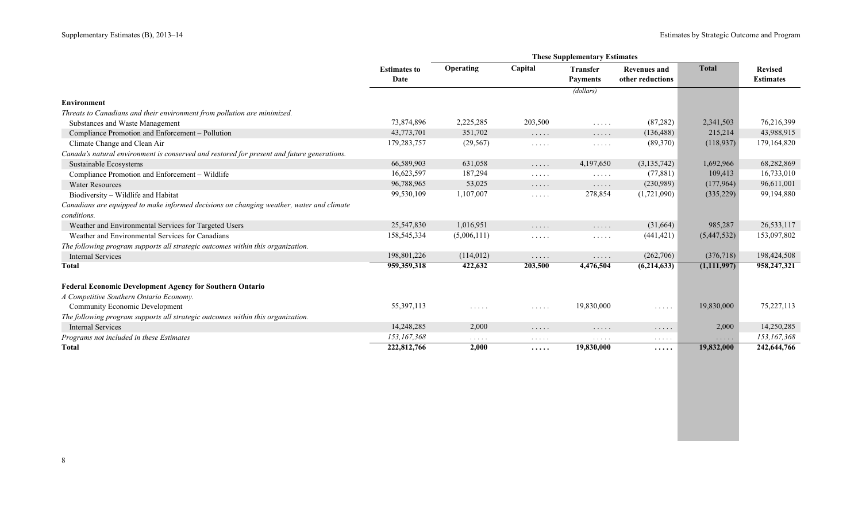|                                                                                            | <b>Estimates to</b> | Operating                                 | Capital                                                           | Transfer                           | Revenues and         | <b>Total</b> | <b>Revised</b>   |
|--------------------------------------------------------------------------------------------|---------------------|-------------------------------------------|-------------------------------------------------------------------|------------------------------------|----------------------|--------------|------------------|
|                                                                                            | Date                |                                           |                                                                   | <b>Payments</b>                    | other reductions     |              | <b>Estimates</b> |
|                                                                                            |                     |                                           |                                                                   | (dollars)                          |                      |              |                  |
| <b>Environment</b>                                                                         |                     |                                           |                                                                   |                                    |                      |              |                  |
| Threats to Canadians and their environment from pollution are minimized.                   |                     |                                           |                                                                   |                                    |                      |              |                  |
| Substances and Waste Management                                                            | 73,874,896          | 2,225,285                                 | 203,500                                                           | $\ldots$                           | (87, 282)            | 2,341,503    | 76,216,399       |
| Compliance Promotion and Enforcement - Pollution                                           | 43,773,701          | 351,702                                   | $\cdots$                                                          | $\cdots$                           | (136, 488)           | 215,214      | 43,988,915       |
| Climate Change and Clean Air                                                               | 179,283,757         | (29, 567)                                 | $\cdots$                                                          | $\cdots$                           | (89,370)             | (118,937)    | 179,164,820      |
| Canada's natural environment is conserved and restored for present and future generations. |                     |                                           |                                                                   |                                    |                      |              |                  |
| Sustainable Ecosystems                                                                     | 66,589,903          | 631,058                                   | 1.1.1.1                                                           | 4,197,650                          | (3, 135, 742)        | 1,692,966    | 68,282,869       |
| Compliance Promotion and Enforcement - Wildlife                                            | 16,623,597          | 187,294                                   | $\cdots$                                                          | $\sim$ $\sim$ $\sim$ $\sim$ $\sim$ | (77, 881)            | 109,413      | 16,733,010       |
| <b>Water Resources</b>                                                                     | 96,788,965          | 53,025                                    | $\cdots$                                                          | $\cdots$                           | (230,989)            | (177,964)    | 96,611,001       |
| Biodiversity - Wildlife and Habitat                                                        | 99,530,109          | 1,107,007                                 | $\mathbb{Z}^n$ . $\mathbb{Z}^n$ , $\mathbb{Z}^n$ , $\mathbb{Z}^n$ | 278,854                            | (1,721,090)          | (335, 229)   | 99,194,880       |
| Canadians are equipped to make informed decisions on changing weather, water and climate   |                     |                                           |                                                                   |                                    |                      |              |                  |
| conditions.                                                                                |                     |                                           |                                                                   |                                    |                      |              |                  |
| Weather and Environmental Services for Targeted Users                                      | 25,547,830          | 1,016,951                                 | $\ldots$                                                          | $\ldots$                           | (31,664)             | 985,287      | 26,533,117       |
| Weather and Environmental Services for Canadians                                           | 158,545,334         | (5,006,111)                               | .                                                                 | $\cdots\cdots\cdots$               | (441, 421)           | (5,447,532)  | 153,097,802      |
| The following program supports all strategic outcomes within this organization.            |                     |                                           |                                                                   |                                    |                      |              |                  |
| <b>Internal Services</b>                                                                   | 198,801,226         | (114, 012)                                | $\cdots$                                                          | .                                  | (262,706)            | (376, 718)   | 198,424,508      |
| <b>Total</b>                                                                               | 959,359,318         | 422,632                                   | 203,500                                                           | 4,476,504                          | (6,214,633)          | (1,111,997)  | 958,247,321      |
| <b>Federal Economic Development Agency for Southern Ontario</b>                            |                     |                                           |                                                                   |                                    |                      |              |                  |
| A Competitive Southern Ontario Economy.                                                    |                     |                                           |                                                                   |                                    |                      |              |                  |
| Community Economic Development                                                             | 55,397,113          | $\cdots$                                  | .                                                                 | 19,830,000                         | $\ldots$             | 19,830,000   | 75,227,113       |
| The following program supports all strategic outcomes within this organization.            |                     |                                           |                                                                   |                                    |                      |              |                  |
| <b>Internal Services</b>                                                                   | 14,248,285          | 2,000                                     | $\cdots\cdots\cdots$                                              | .                                  | $\cdots\cdots\cdots$ | 2,000        | 14,250,285       |
| Programs not included in these Estimates                                                   | 153,167,368         | $\alpha$ , $\alpha$ , $\alpha$ , $\alpha$ | $\cdots$                                                          | .                                  | $\cdots\cdots\cdots$ | $\cdots$     | 153,167,368      |
| <b>T</b> otal                                                                              | 222,812,766         | 2,000                                     | $\cdots\cdots$                                                    | 19,830,000                         | $\cdots\cdots$       | 19,832,000   | 242,644,766      |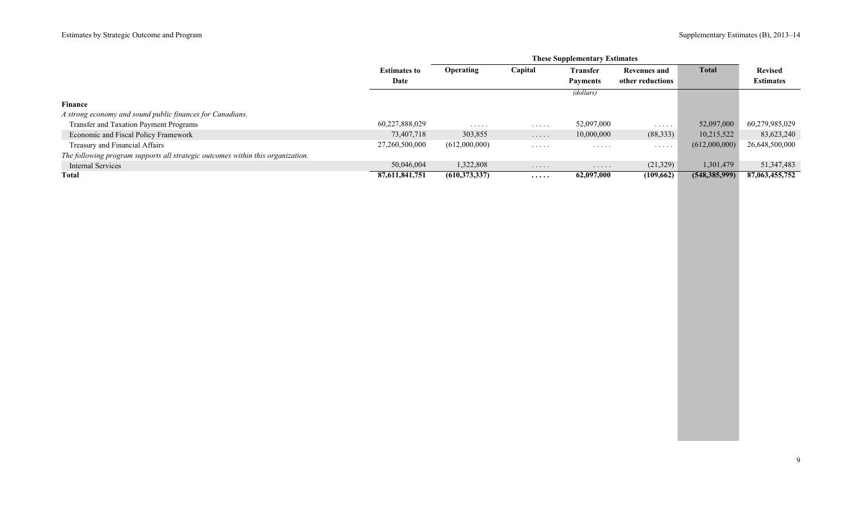|                                                                                 |                     | <b>These Supplementary Estimates</b> |                |                      |                                    |                 |                  |  |
|---------------------------------------------------------------------------------|---------------------|--------------------------------------|----------------|----------------------|------------------------------------|-----------------|------------------|--|
|                                                                                 | <b>Estimates to</b> | <b>Operating</b>                     | Capital        | <b>Transfer</b>      | <b>Revenues and</b>                | <b>Total</b>    | <b>Revised</b>   |  |
|                                                                                 | Date                |                                      |                | <b>Payments</b>      | other reductions                   |                 | <b>Estimates</b> |  |
|                                                                                 |                     |                                      |                | (dollars)            |                                    |                 |                  |  |
| <b>Finance</b>                                                                  |                     |                                      |                |                      |                                    |                 |                  |  |
| A strong economy and sound public finances for Canadians.                       |                     |                                      |                |                      |                                    |                 |                  |  |
| Transfer and Taxation Payment Programs                                          | 60,227,888,029      | .                                    | $\cdots$       | 52,097,000           | .                                  | 52,097,000      | 60,279,985,029   |  |
| Economic and Fiscal Policy Framework                                            | 73,407,718          | 303,855                              | $\cdots$       | 10,000,000           | (88, 333)                          | 10,215,522      | 83,623,240       |  |
| Treasury and Financial Affairs                                                  | 27,260,500,000      | (612,000,000)                        | $\cdot$        | .                    | $\sim$ $\sim$ $\sim$ $\sim$ $\sim$ | (612,000,000)   | 26,648,500,000   |  |
| The following program supports all strategic outcomes within this organization. |                     |                                      |                |                      |                                    |                 |                  |  |
| Internal Services                                                               | 50,046,004          | 1,322,808                            | .              | $\cdots\cdots\cdots$ | (21,329)                           | 1,301,479       | 51,347,483       |  |
| <b>Total</b>                                                                    | 87,611,841,751      | (610, 373, 337)                      | $\cdots\cdots$ | 62,097,000           | (109,662)                          | (548, 385, 999) | 87,063,455,752   |  |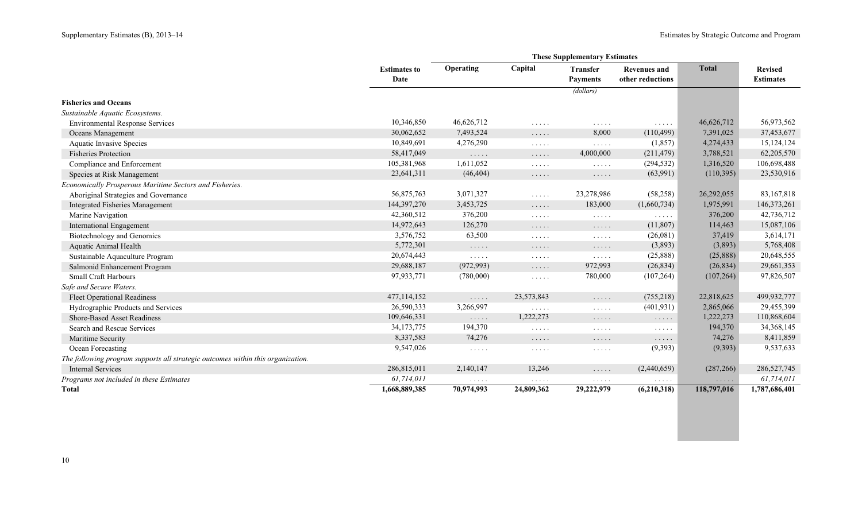a.

|                                                                                 |                             |                                                                                         |                                                        | <b>These Supplementary Estimates</b>                              |                                                  |              |                                    |
|---------------------------------------------------------------------------------|-----------------------------|-----------------------------------------------------------------------------------------|--------------------------------------------------------|-------------------------------------------------------------------|--------------------------------------------------|--------------|------------------------------------|
|                                                                                 | <b>Estimates to</b><br>Date | Operating                                                                               | Capital                                                | <b>Transfer</b><br><b>Payments</b>                                | <b>Revenues and</b><br>other reductions          | <b>Total</b> | <b>Revised</b><br><b>Estimates</b> |
|                                                                                 |                             |                                                                                         |                                                        | (dollars)                                                         |                                                  |              |                                    |
| <b>Fisheries and Oceans</b>                                                     |                             |                                                                                         |                                                        |                                                                   |                                                  |              |                                    |
| Sustainable Aquatic Ecosystems.                                                 |                             |                                                                                         |                                                        |                                                                   |                                                  |              |                                    |
| <b>Environmental Response Services</b>                                          | 10,346,850                  | 46,626,712                                                                              | $\sim$ $\sim$ $\sim$ $\sim$ $\sim$                     | $\cdots$                                                          | $\mathbb{Z}^2$ . $\mathbb{Z}^2$ , $\mathbb{Z}^2$ | 46,626,712   | 56,973,562                         |
| Oceans Management                                                               | 30,062,652                  | 7,493,524                                                                               | $\cdots$                                               | 8,000                                                             | (110, 499)                                       | 7,391,025    | 37,453,677                         |
| <b>Aquatic Invasive Species</b>                                                 | 10,849,691                  | 4,276,290                                                                               | $\mathbb{Z}^2$ . In the set of $\mathbb{Z}^2$          | 1.1.1.1                                                           | (1, 857)                                         | 4,274,433    | 15, 124, 124                       |
| <b>Fisheries Protection</b>                                                     | 58,417,049                  | $\mathcal{L} \left( \mathcal{L} \right)$ , and $\mathcal{L} \left( \mathcal{L} \right)$ | $\mathbb{Z}^n$ . $\mathbb{Z}^n$ , $\mathbb{Z}^n$       | 4,000,000                                                         | (211, 479)                                       | 3,788,521    | 62,205,570                         |
| Compliance and Enforcement                                                      | 105,381,968                 | 1,611,052                                                                               | $\mathcal{L}^{\mathcal{A}}$ . The set of $\mathcal{A}$ | $\mathbb{Z}^2$ . The set of $\mathbb{Z}^2$                        | (294, 532)                                       | 1,316,520    | 106,698,488                        |
| Species at Risk Management                                                      | 23,641,311                  | (46, 404)                                                                               | $\cdots\cdots\cdots$                                   | $\cdots$                                                          | (63,991)                                         | (110,395)    | 23,530,916                         |
| Economically Prosperous Maritime Sectors and Fisheries.                         |                             |                                                                                         |                                                        |                                                                   |                                                  |              |                                    |
| Aboriginal Strategies and Governance                                            | 56,875,763                  | 3,071,327                                                                               | $\ldots$                                               | 23,278,986                                                        | (58, 258)                                        | 26,292,055   | 83,167,818                         |
| <b>Integrated Fisheries Management</b>                                          | 144,397,270                 | 3,453,725                                                                               | $\mathbb{Z}^n$ . $\mathbb{Z}^n$ , $\mathbb{Z}^n$       | 183,000                                                           | (1,660,734)                                      | 1,975,991    | 146,373,261                        |
| Marine Navigation                                                               | 42,360,512                  | 376,200                                                                                 | $\mathcal{L}^{\mathcal{A}}$ . The set of $\mathcal{A}$ | $\cdots$                                                          | $\ldots$                                         | 376,200      | 42,736,712                         |
| <b>International Engagement</b>                                                 | 14,972,643                  | 126,270                                                                                 | $\mathbb{Z}^n$ . $\mathbb{Z}^n$ , $\mathbb{Z}^n$       | $\cdots$                                                          | (11,807)                                         | 114,463      | 15,087,106                         |
| Biotechnology and Genomics                                                      | 3,576,752                   | 63,500                                                                                  | .                                                      | $\cdots$                                                          | (26,081)                                         | 37,419       | 3,614,171                          |
| Aquatic Animal Health                                                           | 5,772,301                   | $\mathcal{L} \left( \mathcal{L} \right)$ , and $\mathcal{L} \left( \mathcal{L} \right)$ | $\cdots\cdots\cdots$                                   | $\cdots$                                                          | (3,893)                                          | (3,893)      | 5,768,408                          |
| Sustainable Aquaculture Program                                                 | 20,674,443                  | $\sim$ $\sim$ $\sim$ $\sim$ $\sim$                                                      | $\sim$ $\sim$ $\sim$ $\sim$ $\sim$                     | $\mathbb{Z}^2$ . $\mathbb{Z}^2$ , $\mathbb{Z}^2$ , $\mathbb{Z}^2$ | (25,888)                                         | (25,888)     | 20,648,555                         |
| Salmonid Enhancement Program                                                    | 29,688,187                  | (972, 993)                                                                              | $\ldots$                                               | 972,993                                                           | (26, 834)                                        | (26, 834)    | 29,661,353                         |
| <b>Small Craft Harbours</b>                                                     | 97,933,771                  | (780,000)                                                                               | $\mathbb{Z}^2$ . $\mathbb{Z}^2$ , $\mathbb{Z}^2$       | 780,000                                                           | (107, 264)                                       | (107, 264)   | 97,826,507                         |
| Safe and Secure Waters.                                                         |                             |                                                                                         |                                                        |                                                                   |                                                  |              |                                    |
| <b>Fleet Operational Readiness</b>                                              | 477,114,152                 | $\mathbb{Z}^2$ . $\mathbb{Z}^2$ , $\mathbb{Z}^2$                                        | 23,573,843                                             | .                                                                 | (755, 218)                                       | 22,818,625   | 499,932,777                        |
| Hydrographic Products and Services                                              | 26,590,333                  | 3,266,997                                                                               | $\mathbb{Z}^n$ . In the set of $\mathbb{Z}^n$          | $\mathbb{Z}^2$ . $\mathbb{Z}^2$ , $\mathbb{Z}^2$ , $\mathbb{Z}^2$ | (401, 931)                                       | 2,865,066    | 29,455,399                         |
| <b>Shore-Based Asset Readiness</b>                                              | 109,646,331                 | $\ldots$                                                                                | 1,222,273                                              | $\cdots$                                                          | $\cdots$                                         | 1,222,273    | 110,868,604                        |
| Search and Rescue Services                                                      | 34, 173, 775                | 194,370                                                                                 | $\mathbb{Z}^n$ . In the $\mathbb{Z}^n$                 | $\cdots$                                                          | $\cdots$                                         | 194,370      | 34, 368, 145                       |
| Maritime Security                                                               | 8,337,583                   | 74,276                                                                                  | $\ldots$                                               | .                                                                 | $\ldots$                                         | 74,276       | 8,411,859                          |
| Ocean Forecasting                                                               | 9,547,026                   | $\mathcal{L}(\mathcal{A})$ . $\mathcal{A}(\mathcal{A})$                                 | $\mathcal{L}^{\mathcal{A}}$ . The set of $\mathcal{A}$ | $\mathbb{Z}^2$ . In the set of $\mathbb{Z}^2$                     | (9, 393)                                         | (9,393)      | 9,537,633                          |
| The following program supports all strategic outcomes within this organization. |                             |                                                                                         |                                                        |                                                                   |                                                  |              |                                    |
| <b>Internal Services</b>                                                        | 286,815,011                 | 2,140,147                                                                               | 13,246                                                 | $\ldots$                                                          | (2,440,659)                                      | (287, 266)   | 286,527,745                        |
| Programs not included in these Estimates                                        | 61,714,011                  | $\mathbb{Z}^n$ . $\mathbb{Z}^n$ , $\mathbb{Z}^n$                                        | $\ldots$                                               | $\sim$ $\sim$ $\sim$ $\sim$ $\sim$                                | $\ldots$                                         | $\ldots$     | 61,714,011                         |
| <b>Total</b>                                                                    | 1,668,889,385               | 70,974,993                                                                              | 24,809,362                                             | 29,222,979                                                        | (6,210,318)                                      | 118,797,016  | 1,787,686,401                      |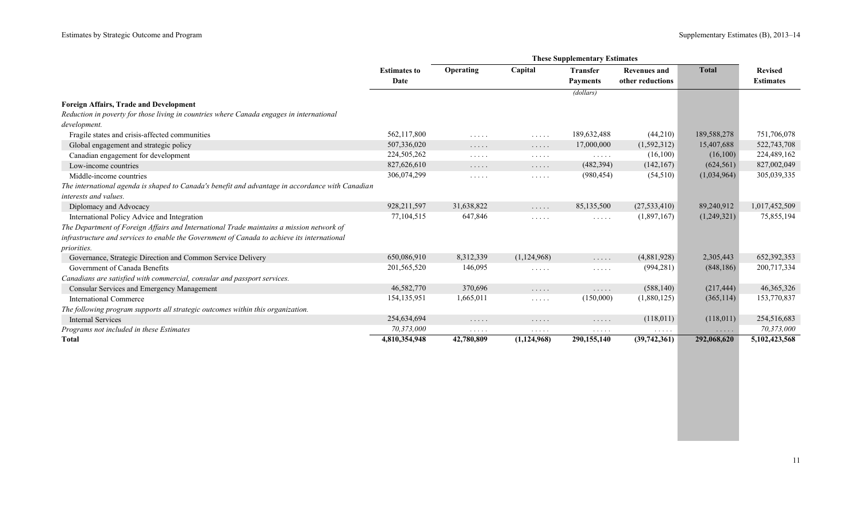|                                                                                                  |                     |                                    |                                                                   | <b>These Supplementary Estimates</b>                                        |                     |              |                  |
|--------------------------------------------------------------------------------------------------|---------------------|------------------------------------|-------------------------------------------------------------------|-----------------------------------------------------------------------------|---------------------|--------------|------------------|
|                                                                                                  | <b>Estimates to</b> | Operating                          | Capital                                                           | <b>Transfer</b>                                                             | <b>Revenues and</b> | <b>Total</b> | <b>Revised</b>   |
|                                                                                                  | Date                |                                    |                                                                   | <b>Payments</b>                                                             | other reductions    |              | <b>Estimates</b> |
|                                                                                                  |                     |                                    |                                                                   | (dollars)                                                                   |                     |              |                  |
| <b>Foreign Affairs, Trade and Development</b>                                                    |                     |                                    |                                                                   |                                                                             |                     |              |                  |
| Reduction in poverty for those living in countries where Canada engages in international         |                     |                                    |                                                                   |                                                                             |                     |              |                  |
| development.                                                                                     |                     |                                    |                                                                   |                                                                             |                     |              |                  |
| Fragile states and crisis-affected communities                                                   | 562,117,800         | .                                  | $\mathbb{Z}^2$ . $\mathbb{Z}^2$ , $\mathbb{Z}^2$                  | 189,632,488                                                                 | (44,210)            | 189,588,278  | 751,706,078      |
| Global engagement and strategic policy                                                           | 507,336,020         | $\cdots$                           | $\dots$                                                           | 17,000,000                                                                  | (1,592,312)         | 15,407,688   | 522,743,708      |
| Canadian engagement for development                                                              | 224,505,262         | .                                  | $\cdots$                                                          | $\mathcal{L}(\mathcal{L}(\mathcal{L},\mathcal{L},\mathcal{L},\mathcal{L}))$ | (16,100)            | (16,100)     | 224,489,162      |
| Low-income countries                                                                             | 827,626,610         | $\sim$ $\sim$ $\sim$ $\sim$ $\sim$ | $\ldots$                                                          | (482, 394)                                                                  | (142, 167)          | (624, 561)   | 827,002,049      |
| Middle-income countries                                                                          | 306,074,299         | $\cdots$                           | $\sim$ $\sim$ $\sim$ $\sim$ $\sim$                                | (980, 454)                                                                  | (54, 510)           | (1,034,964)  | 305,039,335      |
| The international agenda is shaped to Canada's benefit and advantage in accordance with Canadian |                     |                                    |                                                                   |                                                                             |                     |              |                  |
| interests and values.                                                                            |                     |                                    |                                                                   |                                                                             |                     |              |                  |
| Diplomacy and Advocacy                                                                           | 928,211,597         | 31,638,822                         | $\ldots$                                                          | 85,135,500                                                                  | (27, 533, 410)      | 89,240,912   | 1,017,452,509    |
| International Policy Advice and Integration                                                      | 77,104,515          | 647,846                            | $\mathcal{L}^{\mathcal{A}}$ . The set of $\mathcal{A}$            | $\sim$ $\sim$ $\sim$ $\sim$ $\sim$                                          | (1,897,167)         | (1,249,321)  | 75,855,194       |
| The Department of Foreign Affairs and International Trade maintains a mission network of         |                     |                                    |                                                                   |                                                                             |                     |              |                  |
| infrastructure and services to enable the Government of Canada to achieve its international      |                     |                                    |                                                                   |                                                                             |                     |              |                  |
| <i>priorities.</i>                                                                               |                     |                                    |                                                                   |                                                                             |                     |              |                  |
| Governance, Strategic Direction and Common Service Delivery                                      | 650,086,910         | 8,312,339                          | (1,124,968)                                                       | $\ldots$                                                                    | (4,881,928)         | 2,305,443    | 652,392,353      |
| Government of Canada Benefits                                                                    | 201,565,520         | 146,095                            | $\mathcal{L}^{\mathcal{A}}$ . In the set of $\mathcal{A}$         | $\cdots$                                                                    | (994, 281)          | (848, 186)   | 200,717,334      |
| Canadians are satisfied with commercial, consular and passport services.                         |                     |                                    |                                                                   |                                                                             |                     |              |                  |
| Consular Services and Emergency Management                                                       | 46,582,770          | 370,696                            | $\ldots$                                                          | $\cdots$                                                                    | (588, 140)          | (217, 444)   | 46, 365, 326     |
| <b>International Commerce</b>                                                                    | 154, 135, 951       | 1,665,011                          | $\mathbb{Z}^n$ . $\mathbb{Z}^n$ , $\mathbb{Z}^n$ , $\mathbb{Z}^n$ | (150,000)                                                                   | (1,880,125)         | (365, 114)   | 153,770,837      |
| The following program supports all strategic outcomes within this organization.                  |                     |                                    |                                                                   |                                                                             |                     |              |                  |
| <b>Internal Services</b>                                                                         | 254,634,694         | $\sim$ $\sim$ $\sim$ $\sim$ $\sim$ | $\ldots$                                                          | $\cdots$                                                                    | (118,011)           | (118,011)    | 254,516,683      |
| Programs not included in these Estimates                                                         | 70,373,000          | $\sim$ $\sim$ $\sim$ $\sim$ $\sim$ | $\cdots$                                                          | $\cdots$                                                                    | $\cdots$            | $\cdots$     | 70,373,000       |
| <b>Total</b>                                                                                     | 4,810,354,948       | 42,780,809                         | (1, 124, 968)                                                     | 290,155,140                                                                 | (39,742,361)        | 292,068,620  | 5,102,423,568    |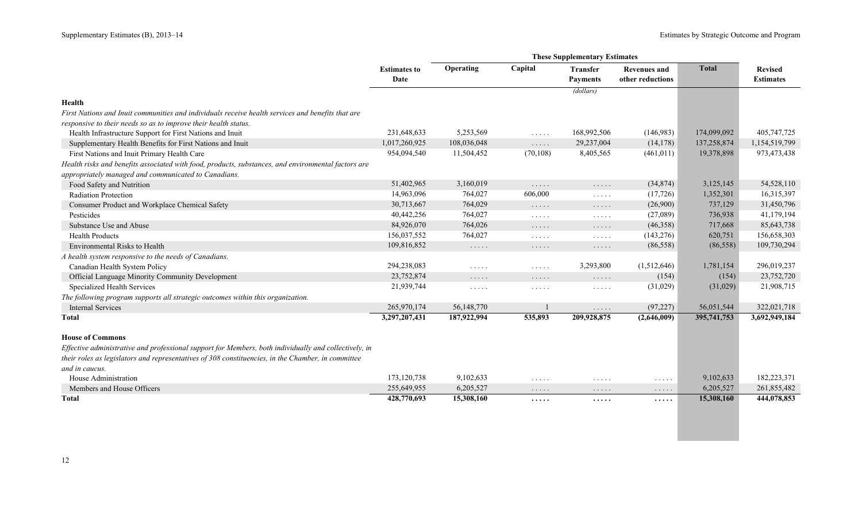|                                                                                                       | <b>Estimates to</b> | Operating                          | Capital                                                           | <b>Transfer</b>                    | <b>Revenues and</b>                | <b>Total</b> | <b>Revised</b>   |
|-------------------------------------------------------------------------------------------------------|---------------------|------------------------------------|-------------------------------------------------------------------|------------------------------------|------------------------------------|--------------|------------------|
|                                                                                                       | Date                |                                    |                                                                   | <b>Payments</b>                    | other reductions                   |              | <b>Estimates</b> |
|                                                                                                       |                     |                                    |                                                                   | (dollars)                          |                                    |              |                  |
| Health                                                                                                |                     |                                    |                                                                   |                                    |                                    |              |                  |
| First Nations and Inuit communities and individuals receive health services and benefits that are     |                     |                                    |                                                                   |                                    |                                    |              |                  |
| responsive to their needs so as to improve their health status.                                       |                     |                                    |                                                                   |                                    |                                    |              |                  |
| Health Infrastructure Support for First Nations and Inuit                                             | 231,648,633         | 5,253,569                          | $\mathbb{R}^n$ . In the $\mathbb{R}^n$                            | 168,992,506                        | (146,983)                          | 174,099,092  | 405,747,725      |
| Supplementary Health Benefits for First Nations and Inuit                                             | 1,017,260,925       | 108,036,048                        | $\mathbb{Z}^2$ . $\mathbb{Z}^2$ , $\mathbb{Z}^2$                  | 29,237,004                         | (14, 178)                          | 137,258,874  | 1,154,519,799    |
| First Nations and Inuit Primary Health Care                                                           | 954,094,540         | 11,504,452                         | (70, 108)                                                         | 8,405,565                          | (461, 011)                         | 19,378,898   | 973,473,438      |
| Health risks and benefits associated with food, products, substances, and environmental factors are   |                     |                                    |                                                                   |                                    |                                    |              |                  |
| appropriately managed and communicated to Canadians.                                                  |                     |                                    |                                                                   |                                    |                                    |              |                  |
| Food Safety and Nutrition                                                                             | 51,402,965          | 3,160,019                          | 1.1.1.1                                                           | $\ldots$                           | (34,874)                           | 3,125,145    | 54,528,110       |
| Radiation Protection                                                                                  | 14,963,096          | 764,027                            | 606,000                                                           | $\sim$ $\sim$ $\sim$ $\sim$ $\sim$ | (17, 726)                          | 1,352,301    | 16,315,397       |
| Consumer Product and Workplace Chemical Safety                                                        | 30,713,667          | 764,029                            | $\mathbb{Z}^n$ . $\mathbb{Z}^n$ , $\mathbb{Z}^n$                  | $\ldots$                           | (26,900)                           | 737,129      | 31,450,796       |
| Pesticides                                                                                            | 40,442,256          | 764,027                            | $\ldots$                                                          | $\ldots$                           | (27,089)                           | 736,938      | 41,179,194       |
| Substance Use and Abuse                                                                               | 84,926,070          | 764,026                            | $\cdots\cdots\cdots$                                              | $\cdots$                           | (46,358)                           | 717,668      | 85,643,738       |
| <b>Health Products</b>                                                                                | 156,037,552         | 764,027                            | $\mathbb{Z}^n$ . $\mathbb{Z}^n$ , $\mathbb{Z}^n$ , $\mathbb{Z}^n$ | 1.1.1.1                            | (143, 276)                         | 620,751      | 156,658,303      |
| <b>Environmental Risks to Health</b>                                                                  | 109,816,852         | $\sim$ $\sim$ $\sim$ $\sim$ $\sim$ | $\cdots\cdots\cdots$                                              | $\ldots$                           | (86, 558)                          | (86, 558)    | 109,730,294      |
| A health system responsive to the needs of Canadians.                                                 |                     |                                    |                                                                   |                                    |                                    |              |                  |
| Canadian Health System Policy                                                                         | 294,238,083         | $\cdots$                           | $\cdots\cdots\cdots$                                              | 3,293,800                          | (1,512,646)                        | 1,781,154    | 296,019,237      |
| Official Language Minority Community Development                                                      | 23,752,874          | $\cdots\cdots\cdots$               | $\sim$ $\sim$ $\sim$ $\sim$ $\sim$                                | $\dots$                            | (154)                              | (154)        | 23,752,720       |
| Specialized Health Services                                                                           | 21,939,744          | $\cdots$                           | $\mathcal{L}^{\mathcal{A}}$ . The set of $\mathcal{A}$            | $\sim$ $\sim$ $\sim$ $\sim$ $\sim$ | (31,029)                           | (31,029)     | 21,908,715       |
| The following program supports all strategic outcomes within this organization.                       |                     |                                    |                                                                   |                                    |                                    |              |                  |
| <b>Internal Services</b>                                                                              | 265,970,174         | 56,148,770                         |                                                                   | $\cdots$                           | (97, 227)                          | 56,051,544   | 322,021,718      |
| <b>Total</b>                                                                                          | 3,297,207,431       | 187,922,994                        | 535,893                                                           | 209,928,875                        | (2,646,009)                        | 395,741,753  | 3,692,949,184    |
| <b>House of Commons</b>                                                                               |                     |                                    |                                                                   |                                    |                                    |              |                  |
| Effective administrative and professional support for Members, both individually and collectively, in |                     |                                    |                                                                   |                                    |                                    |              |                  |
| their roles as legislators and representatives of 308 constituencies, in the Chamber, in committee    |                     |                                    |                                                                   |                                    |                                    |              |                  |
| and in caucus.                                                                                        |                     |                                    |                                                                   |                                    |                                    |              |                  |
| House Administration                                                                                  | 173, 120, 738       | 9,102,633                          | $\sim$ $\sim$ $\sim$ $\sim$ $\sim$                                | $\cdots$                           | $\cdots$                           | 9,102,633    | 182,223,371      |
| Members and House Officers                                                                            | 255,649,955         | 6,205,527                          | $\cdots$                                                          | .                                  | $\sim$ $\sim$ $\sim$ $\sim$ $\sim$ | 6,205,527    | 261,855,482      |
| Total                                                                                                 | 428,770,693         | 15,308,160                         | .                                                                 | .                                  | .                                  | 15,308,160   | 444,078,853      |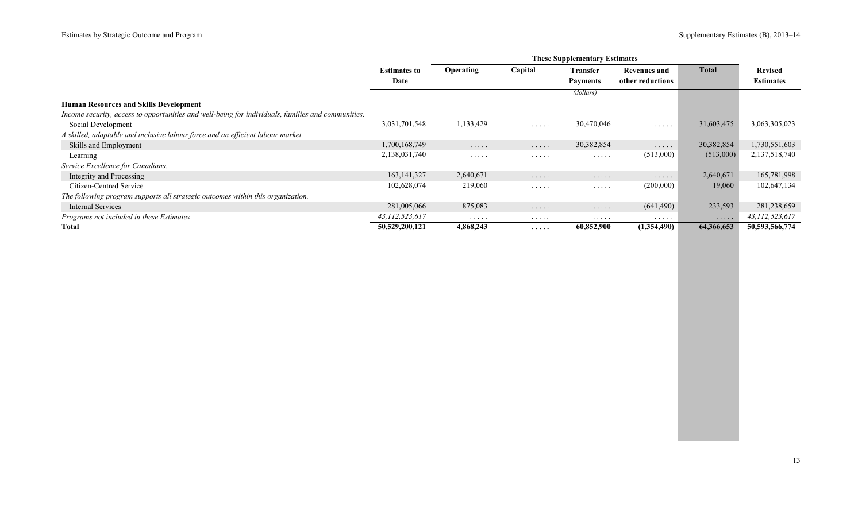|                                                                                                    | <b>These Supplementary Estimates</b> |                                    |                                    |                      |                                    |              |                  |
|----------------------------------------------------------------------------------------------------|--------------------------------------|------------------------------------|------------------------------------|----------------------|------------------------------------|--------------|------------------|
|                                                                                                    | <b>Estimates to</b>                  | Operating                          | Capital                            | Transfer             | <b>Revenues and</b>                | <b>Total</b> | <b>Revised</b>   |
|                                                                                                    | Date                                 |                                    |                                    | <b>Payments</b>      | other reductions                   |              | <b>Estimates</b> |
|                                                                                                    |                                      |                                    |                                    | (dollars)            |                                    |              |                  |
| <b>Human Resources and Skills Development</b>                                                      |                                      |                                    |                                    |                      |                                    |              |                  |
| Income security, access to opportunities and well-being for individuals, families and communities. |                                      |                                    |                                    |                      |                                    |              |                  |
| Social Development                                                                                 | 3,031,701,548                        | 1,133,429                          | $\sim$ $\sim$ $\sim$ $\sim$ $\sim$ | 30,470,046           | $\sim$ $\sim$ $\sim$ $\sim$ $\sim$ | 31,603,475   | 3,063,305,023    |
| A skilled, adaptable and inclusive labour force and an efficient labour market.                    |                                      |                                    |                                    |                      |                                    |              |                  |
| Skills and Employment                                                                              | 1,700,168,749                        | $\cdots$                           | $\cdots$                           | 30,382,854           | $\sim$ $\sim$ $\sim$ $\sim$ $\sim$ | 30,382,854   | 1,730,551,603    |
| Learning                                                                                           | 2,138,031,740                        | $\sim$ $\sim$ $\sim$ $\sim$ $\sim$ | $\cdots$                           | $\cdots$             | (513,000)                          | (513,000)    | 2,137,518,740    |
| Service Excellence for Canadians.                                                                  |                                      |                                    |                                    |                      |                                    |              |                  |
| Integrity and Processing                                                                           | 163, 141, 327                        | 2,640,671                          | $\cdots$                           | $\cdots\cdots\cdots$ | $\cdots\cdots\cdots$               | 2,640,671    | 165,781,998      |
| Citizen-Centred Service                                                                            | 102,628,074                          | 219,060                            | .                                  | .                    | (200,000)                          | 19,060       | 102,647,134      |
| The following program supports all strategic outcomes within this organization.                    |                                      |                                    |                                    |                      |                                    |              |                  |
| Internal Services                                                                                  | 281,005,066                          | 875,083                            | $\cdots$                           | $\cdots$             | (641, 490)                         | 233,593      | 281,238,659      |
| Programs not included in these Estimates                                                           | 43,112,523,617                       | $\cdots$                           | $\cdots\cdots\cdots$               | $\cdots$             | .                                  | $\cdot$      | 43,112,523,617   |
| Total                                                                                              | 50,529,200,121                       | 4,868,243                          | $\cdots\cdots$                     | 60,852,900           | (1,354,490)                        | 64,366,653   | 50,593,566,774   |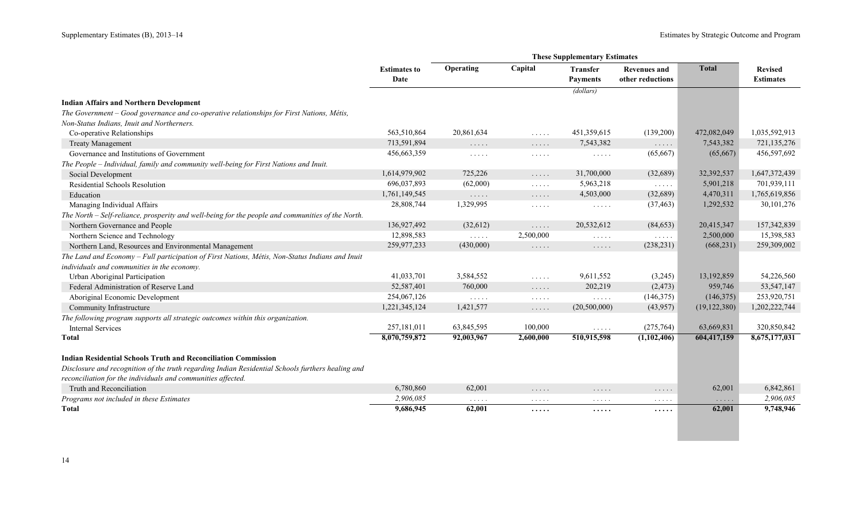|                                                                                                   | <b>Estimates to</b><br>Date | Operating                                                                                   | Capital                                          | <b>Transfer</b><br><b>Payments</b>                               | <b>Revenues and</b><br>other reductions          | <b>Total</b>                   | <b>Revised</b><br><b>Estimates</b> |
|---------------------------------------------------------------------------------------------------|-----------------------------|---------------------------------------------------------------------------------------------|--------------------------------------------------|------------------------------------------------------------------|--------------------------------------------------|--------------------------------|------------------------------------|
|                                                                                                   |                             |                                                                                             |                                                  | (dollars)                                                        |                                                  |                                |                                    |
| <b>Indian Affairs and Northern Development</b>                                                    |                             |                                                                                             |                                                  |                                                                  |                                                  |                                |                                    |
| The Government – Good governance and co-operative relationships for First Nations, Métis,         |                             |                                                                                             |                                                  |                                                                  |                                                  |                                |                                    |
| Non-Status Indians, Inuit and Northerners.                                                        |                             |                                                                                             |                                                  |                                                                  |                                                  |                                |                                    |
| Co-operative Relationships                                                                        | 563,510,864                 | 20,861,634                                                                                  | $\sim$ $\sim$ $\sim$ $\sim$ $\sim$               | 451,359,615                                                      | (139,200)                                        | 472,082,049                    | 1,035,592,913                      |
| <b>Treaty Management</b>                                                                          | 713,591,894                 | $\ldots$                                                                                    | $\ldots$                                         | 7,543,382                                                        | $\ldots$                                         | 7,543,382                      | 721,135,276                        |
| Governance and Institutions of Government                                                         | 456,663,359                 | $\sim$ $\sim$ $\sim$ $\sim$ $\sim$                                                          | $\sim$ $\sim$ $\sim$ $\sim$ $\sim$               | $\mathcal{L}^{\mathcal{L}}$ . In the $\mathcal{L}^{\mathcal{L}}$ | (65,667)                                         | (65,667)                       | 456,597,692                        |
| The People - Individual, family and community well-being for First Nations and Inuit.             |                             |                                                                                             |                                                  |                                                                  |                                                  |                                |                                    |
| Social Development                                                                                | 1,614,979,902               | 725,226                                                                                     | $\mathbb{Z}^2$ . In the $\mathbb{Z}^2$           | 31,700,000                                                       | (32,689)                                         | 32,392,537                     | 1,647,372,439                      |
| Residential Schools Resolution                                                                    | 696,037,893                 | (62,000)                                                                                    | $\sim$ $\sim$ $\sim$ $\sim$ $\sim$               | 5,963,218                                                        | $\mathbb{Z}^2$ . $\mathbb{Z}^2$ , $\mathbb{Z}^2$ | 5,901,218                      | 701,939,111                        |
| Education                                                                                         | 1,761,149,545               | $\mathbb{Z}^2$ . $\mathbb{Z}^2$ , $\mathbb{Z}^2$                                            | $\mathbb{Z}^2$ . In the $\mathbb{Z}^2$           | 4,503,000                                                        | (32,689)                                         | 4,470,311                      | 1,765,619,856                      |
| Managing Individual Affairs                                                                       | 28,808,744                  | 1,329,995                                                                                   | $\mathbb{Z}^n$ . In the $\mathbb{Z}^n$           | $\sim$ $\sim$ $\sim$ $\sim$ $\sim$                               | (37, 463)                                        | 1,292,532                      | 30,101,276                         |
| The North - Self-reliance, prosperity and well-being for the people and communities of the North. |                             |                                                                                             |                                                  |                                                                  |                                                  |                                |                                    |
| Northern Governance and People                                                                    | 136,927,492                 | (32,612)                                                                                    | $\mathbb{Z}^2$ . $\mathbb{Z}^2$ , $\mathbb{Z}^2$ | 20,532,612                                                       | (84, 653)                                        | 20,415,347                     | 157,342,839                        |
| Northern Science and Technology                                                                   | 12,898,583                  | $\mathbb{R}^2$ . $\mathbb{R}^2$ , $\mathbb{R}^2$                                            | 2,500,000                                        | $\mathbb{Z}^2$ . $\mathbb{Z}^2$ , $\mathbb{Z}^2$                 | $\mathbb{Z}^2$ . $\mathbb{Z}^2$ , $\mathbb{Z}^2$ | 2,500,000                      | 15,398,583                         |
| Northern Land, Resources and Environmental Management                                             | 259,977,233                 | (430,000)                                                                                   | $\mathbb{Z}^2$ . In the $\mathbb{Z}^2$           | $\sim$ $\sim$ $\sim$ $\sim$ $\sim$                               | (238, 231)                                       | (668, 231)                     | 259,309,002                        |
| The Land and Economy - Full participation of First Nations, Métis, Non-Status Indians and Inuit   |                             |                                                                                             |                                                  |                                                                  |                                                  |                                |                                    |
| individuals and communities in the economy.                                                       |                             |                                                                                             |                                                  |                                                                  |                                                  |                                |                                    |
| Urban Aboriginal Participation                                                                    | 41,033,701                  | 3,584,552                                                                                   | $\ldots$                                         | 9,611,552                                                        | (3,245)                                          | 13,192,859                     | 54,226,560                         |
| Federal Administration of Reserve Land                                                            | 52,587,401                  | 760,000                                                                                     | $\mathbb{Z}^2$ . In the $\mathbb{Z}^2$           | 202,219                                                          | (2, 473)                                         | 959,746                        | 53,547,147                         |
| Aboriginal Economic Development                                                                   | 254,067,126                 | $\mathbb{R}^n$ . In the $\mathbb{R}^n$                                                      | $\sim$ $\sim$ $\sim$ $\sim$ $\sim$               | $\ldots$                                                         | (146,375)                                        | (146, 375)                     | 253,920,751                        |
| Community Infrastructure                                                                          | 1,221,345,124               | 1,421,577                                                                                   | $\ldots$                                         | (20,500,000)                                                     | (43,957)                                         | (19, 122, 380)                 | 1,202,222,744                      |
| The following program supports all strategic outcomes within this organization.                   |                             |                                                                                             |                                                  |                                                                  |                                                  |                                |                                    |
| <b>Internal Services</b>                                                                          | 257,181,011                 | 63,845,595                                                                                  | 100,000                                          | $\mathbb{Z}^2$ . $\mathbb{Z}^2$ , $\mathbb{Z}^2$                 | (275,764)                                        | 63,669,831                     | 320,850,842                        |
| Total                                                                                             | 8,070,759,872               | 92,003,967                                                                                  | 2,600,000                                        | 510,915,598                                                      | (1,102,406)                                      | 604,417,159                    | 8,675,177,031                      |
| <b>Indian Residential Schools Truth and Reconciliation Commission</b>                             |                             |                                                                                             |                                                  |                                                                  |                                                  |                                |                                    |
| Disclosure and recognition of the truth regarding Indian Residential Schools furthers healing and |                             |                                                                                             |                                                  |                                                                  |                                                  |                                |                                    |
| reconciliation for the individuals and communities affected.                                      |                             |                                                                                             |                                                  |                                                                  |                                                  |                                |                                    |
| Truth and Reconciliation                                                                          | 6,780,860                   | 62,001                                                                                      | $\sim$ $\sim$ $\sim$ $\sim$ $\sim$               | $\sim$ $\sim$ $\sim$ $\sim$ $\sim$                               | .                                                | 62,001                         | 6,842,861                          |
| Programs not included in these Estimates                                                          | 2,906,085                   | $\mathcal{L}^{\mathcal{L}}$ and $\mathcal{L}^{\mathcal{L}}$ and $\mathcal{L}^{\mathcal{L}}$ | $\sim$ $\sim$ $\sim$ $\sim$ $\sim$               | $\sim$ $\sim$ $\sim$ $\sim$ $\sim$                               | $\cdots$                                         | $\alpha$ , $\alpha$ , $\alpha$ | 2,906,085                          |
| Total                                                                                             | 9,686,945                   | 62,001                                                                                      | .                                                | $\cdots$                                                         | .                                                | 62,001                         | 9,748,946                          |
|                                                                                                   |                             |                                                                                             |                                                  |                                                                  |                                                  |                                |                                    |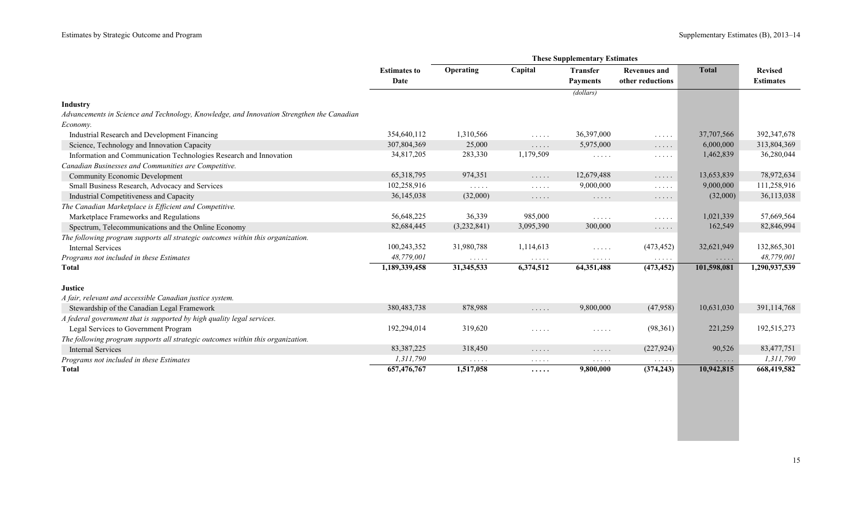|                                                                                           |                     |                                    |                                    | <b>These Supplementary Estimates</b> |                                                        |              |                  |
|-------------------------------------------------------------------------------------------|---------------------|------------------------------------|------------------------------------|--------------------------------------|--------------------------------------------------------|--------------|------------------|
|                                                                                           | <b>Estimates to</b> | Operating                          | Capital                            | <b>Transfer</b>                      | <b>Revenues and</b>                                    | <b>Total</b> | <b>Revised</b>   |
|                                                                                           | Date                |                                    |                                    | <b>Payments</b>                      | other reductions                                       |              | <b>Estimates</b> |
|                                                                                           |                     |                                    |                                    | (dollars)                            |                                                        |              |                  |
| <b>Industry</b>                                                                           |                     |                                    |                                    |                                      |                                                        |              |                  |
| Advancements in Science and Technology, Knowledge, and Innovation Strengthen the Canadian |                     |                                    |                                    |                                      |                                                        |              |                  |
| Economy.                                                                                  |                     |                                    |                                    |                                      |                                                        |              |                  |
| Industrial Research and Development Financing                                             | 354,640,112         | 1,310,566                          | $\ldots$                           | 36,397,000                           | $\mathbb{Z}^2$ . In the set of $\mathbb{Z}^2$          | 37,707,566   | 392,347,678      |
| Science, Technology and Innovation Capacity                                               | 307,804,369         | 25,000                             | $\ldots$                           | 5,975,000                            | $\cdots$                                               | 6,000,000    | 313,804,369      |
| Information and Communication Technologies Research and Innovation                        | 34,817,205          | 283,330                            | 1,179,509                          | $\sim$ $\sim$ $\sim$ $\sim$ $\sim$   | $\cdots \cdots \cdots$                                 | 1,462,839    | 36,280,044       |
| Canadian Businesses and Communities are Competitive.                                      |                     |                                    |                                    |                                      |                                                        |              |                  |
| <b>Community Economic Development</b>                                                     | 65,318,795          | 974,351                            | $\ldots$                           | 12,679,488                           | $\sim$ $\sim$ $\sim$ $\sim$ $\sim$                     | 13,653,839   | 78,972,634       |
| Small Business Research, Advocacy and Services                                            | 102,258,916         | $\sim$ $\sim$ $\sim$ $\sim$ $\sim$ | $\sim$ $\sim$ $\sim$ $\sim$ $\sim$ | 9,000,000                            | $\sim$ $\sim$ $\sim$ $\sim$ $\sim$                     | 9,000,000    | 111,258,916      |
| Industrial Competitiveness and Capacity                                                   | 36,145,038          | (32,000)                           | $\cdots$                           | $\ldots$                             | $\cdots$                                               | (32,000)     | 36,113,038       |
| The Canadian Marketplace is Efficient and Competitive.                                    |                     |                                    |                                    |                                      |                                                        |              |                  |
| Marketplace Frameworks and Regulations                                                    | 56,648,225          | 36,339                             | 985,000                            | $\sim$ $\sim$ $\sim$ $\sim$ $\sim$   | $\mathcal{L}^{\mathcal{A}}$ . The set of $\mathcal{A}$ | 1,021,339    | 57,669,564       |
| Spectrum, Telecommunications and the Online Economy                                       | 82,684,445          | (3,232,841)                        | 3,095,390                          | 300,000                              | $\cdots$                                               | 162,549      | 82,846,994       |
| The following program supports all strategic outcomes within this organization.           |                     |                                    |                                    |                                      |                                                        |              |                  |
| <b>Internal Services</b>                                                                  | 100,243,352         | 31,980,788                         | 1,114,613                          | 1.1.1.1                              | (473, 452)                                             | 32,621,949   | 132,865,301      |
| Programs not included in these Estimates                                                  | 48,779,001          | $\sim$ $\sim$ $\sim$ $\sim$ $\sim$ | $\sim$ $\sim$ $\sim$ $\sim$ $\sim$ | $\cdots\cdots\cdots$                 | $\sim$ $\sim$ $\sim$ $\sim$ $\sim$                     | $\cdots$     | 48.779.001       |
| <b>T</b> otal                                                                             | 1,189,339,458       | 31,345,533                         | 6,374,512                          | 64,351,488                           | (473, 452)                                             | 101,598,081  | 1,290,937,539    |
| <b>Justice</b>                                                                            |                     |                                    |                                    |                                      |                                                        |              |                  |
| A fair, relevant and accessible Canadian justice system.                                  |                     |                                    |                                    |                                      |                                                        |              |                  |
| Stewardship of the Canadian Legal Framework                                               | 380, 483, 738       | 878,988                            | $\ldots$                           | 9,800,000                            | (47,958)                                               | 10,631,030   | 391,114,768      |
| A federal government that is supported by high quality legal services.                    |                     |                                    |                                    |                                      |                                                        |              |                  |
| Legal Services to Government Program                                                      | 192,294,014         | 319,620                            | .                                  | $\cdots\cdots\cdots$                 | (98,361)                                               | 221,259      | 192,515,273      |
| The following program supports all strategic outcomes within this organization.           |                     |                                    |                                    |                                      |                                                        |              |                  |
| <b>Internal Services</b>                                                                  | 83, 387, 225        | 318,450                            | $\cdots$                           | $\ldots$                             | (227, 924)                                             | 90,526       | 83,477,751       |
| Programs not included in these Estimates                                                  | 1,311,790           | $\cdots$                           | $\cdots\cdots\cdots$               | $\cdots\cdots\cdots$                 |                                                        | $\cdots$     | 1,311,790        |
| <b>Total</b>                                                                              | 657,476,767         | 1,517,058                          | $\cdots$                           | 9,800,000                            | (374, 243)                                             | 10,942,815   | 668,419,582      |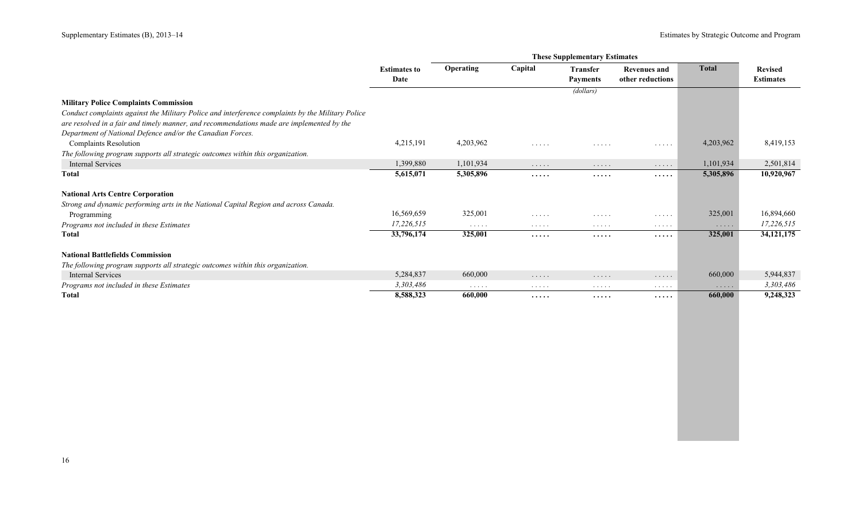|                                                                                                   | <b>Estimates to</b><br>Date | <b>Operating</b>                          | Capital        | <b>Transfer</b> | <b>Revenues and</b>  | <b>Total</b> | <b>Revised</b>   |
|---------------------------------------------------------------------------------------------------|-----------------------------|-------------------------------------------|----------------|-----------------|----------------------|--------------|------------------|
|                                                                                                   |                             |                                           |                | <b>Payments</b> | other reductions     |              | <b>Estimates</b> |
|                                                                                                   |                             |                                           |                | (dollars)       |                      |              |                  |
| <b>Military Police Complaints Commission</b>                                                      |                             |                                           |                |                 |                      |              |                  |
| Conduct complaints against the Military Police and interference complaints by the Military Police |                             |                                           |                |                 |                      |              |                  |
| are resolved in a fair and timely manner, and recommendations made are implemented by the         |                             |                                           |                |                 |                      |              |                  |
| Department of National Defence and/or the Canadian Forces.                                        |                             |                                           |                |                 |                      |              |                  |
| <b>Complaints Resolution</b>                                                                      | 4,215,191                   | 4,203,962                                 | .              | .               | $\cdots$             | 4,203,962    | 8,419,153        |
| The following program supports all strategic outcomes within this organization.                   |                             |                                           |                |                 |                      |              |                  |
| Internal Services                                                                                 | 1,399,880                   | 1,101,934                                 | $\cdots$       | .               | .                    | 1,101,934    | 2,501,814        |
| Total                                                                                             | 5,615,071                   | 5,305,896                                 | .              | $\cdots\cdots$  | $\cdots\cdots$       | 5,305,896    | 10,920,967       |
| <b>National Arts Centre Corporation</b>                                                           |                             |                                           |                |                 |                      |              |                  |
| Strong and dynamic performing arts in the National Capital Region and across Canada.              |                             |                                           |                |                 |                      |              |                  |
| Programming                                                                                       | 16,569,659                  | 325,001                                   | .              | .               | .                    | 325,001      | 16,894,660       |
| Programs not included in these Estimates                                                          | 17,226,515                  | $\cdots$                                  | $\cdots$       | $\cdots$        | $\cdots$             | $\cdots$     | 17,226,515       |
| Total                                                                                             | 33,796,174                  | 325,001                                   | .              | .               | $\cdots\cdots$       | 325,001      | 34, 121, 175     |
| <b>National Battlefields Commission</b>                                                           |                             |                                           |                |                 |                      |              |                  |
| The following program supports all strategic outcomes within this organization.                   |                             |                                           |                |                 |                      |              |                  |
| <b>Internal Services</b>                                                                          | 5,284,837                   | 660,000                                   | $\cdots\cdots$ | .               | $\cdots\cdots\cdots$ | 660,000      | 5,944,837        |
| Programs not included in these Estimates                                                          | 3,303,486                   | $\alpha$ , $\alpha$ , $\alpha$ , $\alpha$ | $\cdots$       | $\cdots$        | $\cdots$             | $\cdots$     | 3,303,486        |
| <b>Total</b>                                                                                      | 8,588,323                   | 660,000                                   | .              | $\cdots\cdots$  | $\cdots\cdots$       | 660,000      | 9,248,323        |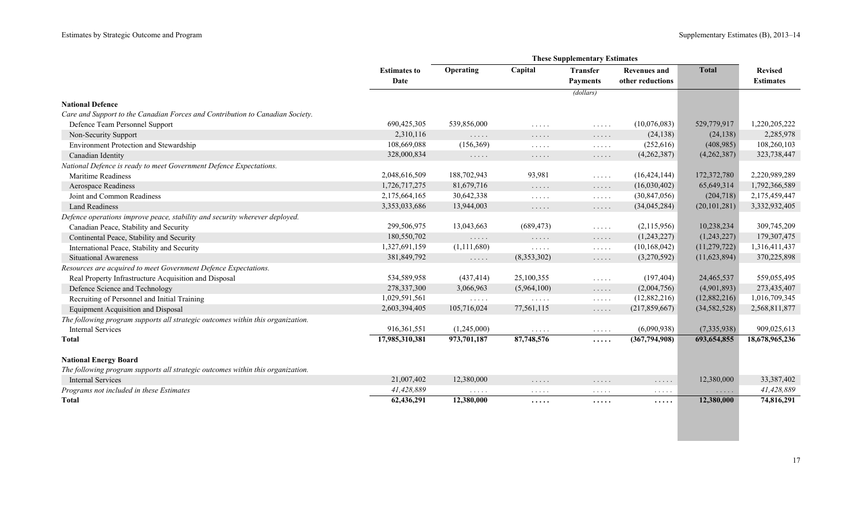|                                                                                 | <b>Estimates to</b><br>Date | Operating                          | Capital                                                         | <b>Transfer</b><br><b>Payments</b>               | <b>Revenues and</b><br>other reductions | <b>Total</b>                       | <b>Revised</b><br><b>Estimates</b> |
|---------------------------------------------------------------------------------|-----------------------------|------------------------------------|-----------------------------------------------------------------|--------------------------------------------------|-----------------------------------------|------------------------------------|------------------------------------|
|                                                                                 |                             |                                    |                                                                 | (dollars)                                        |                                         |                                    |                                    |
| <b>National Defence</b>                                                         |                             |                                    |                                                                 |                                                  |                                         |                                    |                                    |
| Care and Support to the Canadian Forces and Contribution to Canadian Society.   |                             |                                    |                                                                 |                                                  |                                         |                                    |                                    |
| Defence Team Personnel Support                                                  | 690,425,305                 | 539,856,000                        | $\mathbb{R}^n$ . In the $\mathbb{R}^n$                          | $\ldots$                                         | (10,076,083)                            | 529,779,917                        | 1,220,205,222                      |
| Non-Security Support                                                            | 2,310,116                   | .                                  | .                                                               | $\ldots$                                         | (24, 138)                               | (24, 138)                          | 2,285,978                          |
| Environment Protection and Stewardship                                          | 108,669,088                 | (156, 369)                         | $\sim$ $\sim$ $\sim$ $\sim$ $\sim$                              | $\sim$ $\sim$ $\sim$ $\sim$ $\sim$               | (252, 616)                              | (408,985)                          | 108,260,103                        |
| Canadian Identity                                                               | 328,000,834                 | $\sim$ $\sim$ $\sim$ $\sim$ $\sim$ | $\sim$ $\sim$ $\sim$ $\sim$ $\sim$                              | $\sim$ $\sim$ $\sim$ $\sim$ $\sim$               | (4,262,387)                             | (4,262,387)                        | 323,738,447                        |
| National Defence is ready to meet Government Defence Expectations.              |                             |                                    |                                                                 |                                                  |                                         |                                    |                                    |
| <b>Maritime Readiness</b>                                                       | 2,048,616,509               | 188,702,943                        | 93,981                                                          | $\mathbb{Z}^2$ . $\mathbb{Z}^2$ , $\mathbb{Z}^2$ | (16, 424, 144)                          | 172,372,780                        | 2,220,989,289                      |
| <b>Aerospace Readiness</b>                                                      | 1,726,717,275               | 81,679,716                         | $\mathbb{Z}^2$ . $\mathbb{Z}^2$ , $\mathbb{Z}^2$                | $\mathbb{Z}^2$ . $\mathbb{Z}^2$ , $\mathbb{Z}^2$ | (16,030,402)                            | 65,649,314                         | 1,792,366,589                      |
| Joint and Common Readiness                                                      | 2,175,664,165               | 30,642,338                         | $\sim$ $\sim$ $\sim$ $\sim$ $\sim$                              | $\sim$ $\sim$ $\sim$ $\sim$ $\sim$               | (30, 847, 056)                          | (204, 718)                         | 2,175,459,447                      |
| <b>Land Readiness</b>                                                           | 3,353,033,686               | 13,944,003                         | $\sim$ $\sim$ $\sim$ $\sim$ $\sim$                              | $\sim$ $\sim$ $\sim$ $\sim$ $\sim$               | (34,045,284)                            | (20, 101, 281)                     | 3,332,932,405                      |
| Defence operations improve peace, stability and security wherever deployed.     |                             |                                    |                                                                 |                                                  |                                         |                                    |                                    |
| Canadian Peace, Stability and Security                                          | 299,506,975                 | 13,043,663                         | (689, 473)                                                      | $\ldots$                                         | (2,115,956)                             | 10,238,234                         | 309,745,209                        |
| Continental Peace, Stability and Security                                       | 180,550,702                 | $\ldots$                           | $\sim$ $\sim$ $\sim$ $\sim$ $\sim$                              | $\sim$ $\sim$ $\sim$ $\sim$ $\sim$               | (1,243,227)                             | (1,243,227)                        | 179,307,475                        |
| International Peace, Stability and Security                                     | 1,327,691,159               | (1,111,680)                        | $\ldots$                                                        | $\sim$ $\sim$ $\sim$ $\sim$ $\sim$               | (10, 168, 042)                          | (11,279,722)                       | 1,316,411,437                      |
| <b>Situational Awareness</b>                                                    | 381,849,792                 | $\sim$ $\sim$ $\sim$ $\sim$ $\sim$ | (8,353,302)                                                     | $\ldots$                                         | (3,270,592)                             | (11,623,894)                       | 370,225,898                        |
| Resources are acquired to meet Government Defence Expectations.                 |                             |                                    |                                                                 |                                                  |                                         |                                    |                                    |
| Real Property Infrastructure Acquisition and Disposal                           | 534,589,958                 | (437, 414)                         | 25,100,355                                                      | $\ldots$                                         | (197, 404)                              | 24,465,537                         | 559,055,495                        |
| Defence Science and Technology                                                  | 278,337,300                 | 3,066,963                          | (5,964,100)                                                     | $\ldots$                                         | (2,004,756)                             | (4,901,893)                        | 273,435,407                        |
| Recruiting of Personnel and Initial Training                                    | 1,029,591,561               | $\ldots$                           | $\mathcal{L}(\mathcal{L}(\mathcal{L},\mathcal{L},\mathcal{L}))$ | $\sim$ $\sim$ $\sim$ $\sim$ $\sim$               | (12,882,216)                            | (12,882,216)                       | 1,016,709,345                      |
| <b>Equipment Acquisition and Disposal</b>                                       | 2,603,394,405               | 105,716,024                        | 77,561,115                                                      | $\ldots$                                         | (217, 859, 667)                         | (34, 582, 528)                     | 2,568,811,877                      |
| The following program supports all strategic outcomes within this organization. |                             |                                    |                                                                 |                                                  |                                         |                                    |                                    |
| <b>Internal Services</b>                                                        | 916, 361, 551               | (1,245,000)                        | $\mathcal{L}(\mathcal{L}(\mathcal{L},\mathcal{L},\mathcal{L}))$ | $\sim$ $\sim$ $\sim$ $\sim$ $\sim$               | (6,090,938)                             | (7,335,938)                        | 909,025,613                        |
| Total                                                                           | 17,985,310,381              | 973,701,187                        | 87,748,576                                                      | .                                                | (367,794,908)                           | 693, 654, 855                      | 18,678,965,236                     |
| <b>National Energy Board</b>                                                    |                             |                                    |                                                                 |                                                  |                                         |                                    |                                    |
| The following program supports all strategic outcomes within this organization. |                             |                                    |                                                                 |                                                  |                                         |                                    |                                    |
| <b>Internal Services</b>                                                        | 21,007,402                  | 12,380,000                         | $\cdots$                                                        | $\cdots$                                         | $\sim$ $\sim$ $\sim$ $\sim$ $\sim$      | 12,380,000                         | 33,387,402                         |
| Programs not included in these Estimates                                        | 41,428,889                  | $\sim$ $\sim$ $\sim$ $\sim$ $\sim$ | $\cdots\cdots\cdots$                                            | $\sim$ $\sim$ $\sim$ $\sim$ $\sim$               | $\cdots$                                | $\sim$ $\sim$ $\sim$ $\sim$ $\sim$ | 41,428,889                         |
| <b>Total</b>                                                                    | 62,436,291                  | 12,380,000                         | .                                                               | $\cdots\cdots$                                   | .                                       | 12,380,000                         | 74,816,291                         |
|                                                                                 |                             |                                    |                                                                 |                                                  |                                         |                                    |                                    |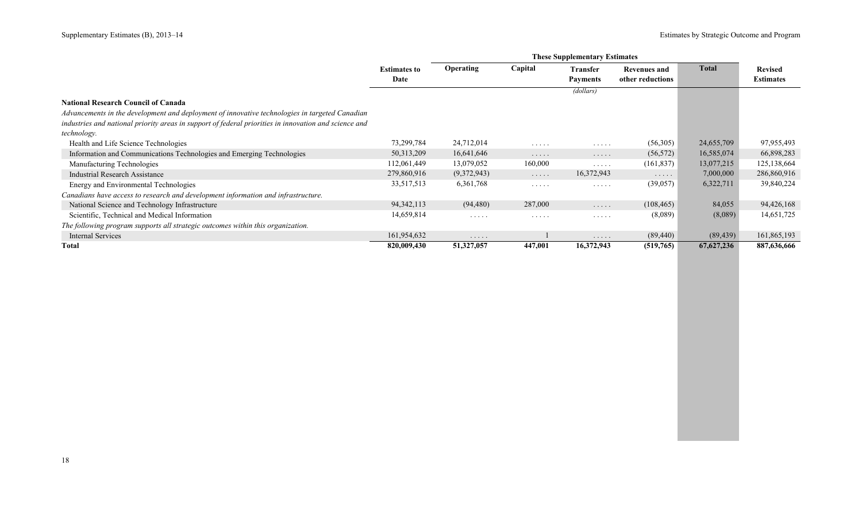|                                                                                                       | <b>These Supplementary Estimates</b> |                  |                      |                                    |                     |              |                  |  |  |
|-------------------------------------------------------------------------------------------------------|--------------------------------------|------------------|----------------------|------------------------------------|---------------------|--------------|------------------|--|--|
|                                                                                                       | <b>Estimates to</b>                  | <b>Operating</b> | Capital              | <b>Transfer</b>                    | <b>Revenues and</b> | <b>Total</b> | <b>Revised</b>   |  |  |
|                                                                                                       | Date                                 |                  |                      | <b>Payments</b>                    | other reductions    |              | <b>Estimates</b> |  |  |
|                                                                                                       |                                      |                  |                      | (dollars)                          |                     |              |                  |  |  |
| <b>National Research Council of Canada</b>                                                            |                                      |                  |                      |                                    |                     |              |                  |  |  |
| Advancements in the development and deployment of innovative technologies in targeted Canadian        |                                      |                  |                      |                                    |                     |              |                  |  |  |
| industries and national priority areas in support of federal priorities in innovation and science and |                                      |                  |                      |                                    |                     |              |                  |  |  |
| technology.                                                                                           |                                      |                  |                      |                                    |                     |              |                  |  |  |
| Health and Life Science Technologies                                                                  | 73,299,784                           | 24,712,014       | $\cdots$             | $\sim$ $\sim$ $\sim$ $\sim$ $\sim$ | (56,305)            | 24,655,709   | 97,955,493       |  |  |
| Information and Communications Technologies and Emerging Technologies                                 | 50,313,209                           | 16,641,646       | .                    | $\cdots\cdots$                     | (56, 572)           | 16,585,074   | 66,898,283       |  |  |
| Manufacturing Technologies                                                                            | 112,061,449                          | 13,079,052       | 160,000              | $\sim$ $\sim$ $\sim$ $\sim$ $\sim$ | (161, 837)          | 13,077,215   | 125, 138, 664    |  |  |
| <b>Industrial Research Assistance</b>                                                                 | 279,860,916                          | (9,372,943)      | $\cdots$             | 16,372,943                         | $\cdots$            | 7,000,000    | 286,860,916      |  |  |
| Energy and Environmental Technologies                                                                 | 33,517,513                           | 6, 361, 768      | .                    | $\cdots$                           | (39,057)            | 6,322,711    | 39,840,224       |  |  |
| Canadians have access to research and development information and infrastructure.                     |                                      |                  |                      |                                    |                     |              |                  |  |  |
| National Science and Technology Infrastructure                                                        | 94, 342, 113                         | (94, 480)        | 287,000              | .                                  | (108, 465)          | 84,055       | 94,426,168       |  |  |
| Scientific, Technical and Medical Information                                                         | 14,659,814                           | $\cdots$         | $\cdots\cdots\cdots$ | .                                  | (8,089)             | (8,089)      | 14,651,725       |  |  |
| The following program supports all strategic outcomes within this organization.                       |                                      |                  |                      |                                    |                     |              |                  |  |  |
| <b>Internal Services</b>                                                                              | 161,954,632                          | .                |                      | .                                  | (89, 440)           | (89, 439)    | 161,865,193      |  |  |
| Total                                                                                                 | 820,009,430                          | 51,327,057       | 447,001              | 16,372,943                         | (519,765)           | 67,627,236   | 887,636,666      |  |  |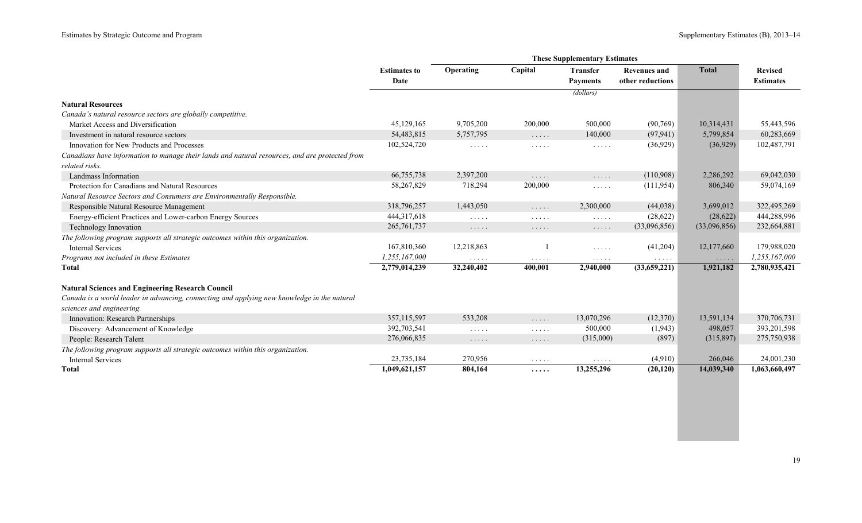|                                                                                                |                             | <b>These Supplementary Estimates</b> |                                                                   |                                    |                                         |              |                                    |  |
|------------------------------------------------------------------------------------------------|-----------------------------|--------------------------------------|-------------------------------------------------------------------|------------------------------------|-----------------------------------------|--------------|------------------------------------|--|
|                                                                                                | <b>Estimates to</b><br>Date | Operating                            | Capital                                                           | <b>Transfer</b><br><b>Payments</b> | <b>Revenues and</b><br>other reductions | <b>Total</b> | <b>Revised</b><br><b>Estimates</b> |  |
|                                                                                                |                             |                                      |                                                                   | (dollars)                          |                                         |              |                                    |  |
| <b>Natural Resources</b>                                                                       |                             |                                      |                                                                   |                                    |                                         |              |                                    |  |
| Canada's natural resource sectors are globally competitive.                                    |                             |                                      |                                                                   |                                    |                                         |              |                                    |  |
| Market Access and Diversification                                                              | 45,129,165                  | 9,705,200                            | 200,000                                                           | 500,000                            | (90, 769)                               | 10,314,431   | 55,443,596                         |  |
| Investment in natural resource sectors                                                         | 54,483,815                  | 5,757,795                            | $\mathbb{Z}^2$ . $\mathbb{Z}^2$ , $\mathbb{Z}^2$                  | 140,000                            | (97, 941)                               | 5,799,854    | 60,283,669                         |  |
| Innovation for New Products and Processes                                                      | 102,524,720                 | 1.1.1.1                              | 1.1.1.1                                                           | 1.1.1.1                            | (36,929)                                | (36,929)     | 102,487,791                        |  |
| Canadians have information to manage their lands and natural resources, and are protected from |                             |                                      |                                                                   |                                    |                                         |              |                                    |  |
| related risks.                                                                                 |                             |                                      |                                                                   |                                    |                                         |              |                                    |  |
| Landmass Information                                                                           | 66,755,738                  | 2,397,200                            | .                                                                 | .                                  | (110,908)                               | 2,286,292    | 69,042,030                         |  |
| Protection for Canadians and Natural Resources                                                 | 58,267,829                  | 718,294                              | 200,000                                                           | $\cdots$                           | (111, 954)                              | 806,340      | 59,074,169                         |  |
| Natural Resource Sectors and Consumers are Environmentally Responsible.                        |                             |                                      |                                                                   |                                    |                                         |              |                                    |  |
| Responsible Natural Resource Management                                                        | 318,796,257                 | 1,443,050                            | 1.1.1.1                                                           | 2,300,000                          | (44, 038)                               | 3,699,012    | 322,495,269                        |  |
| Energy-efficient Practices and Lower-carbon Energy Sources                                     | 444, 317, 618               | $\cdots$                             | .                                                                 | $\cdots$                           | (28, 622)                               | (28,622)     | 444,288,996                        |  |
| Technology Innovation                                                                          | 265, 761, 737               | $\cdots\cdots\cdots$                 | $\cdots$                                                          | $\cdots$ .                         | (33,096,856)                            | (33,096,856) | 232,664,881                        |  |
| The following program supports all strategic outcomes within this organization.                |                             |                                      |                                                                   |                                    |                                         |              |                                    |  |
| <b>Internal Services</b>                                                                       | 167,810,360                 | 12,218,863                           |                                                                   | .                                  | (41,204)                                | 12,177,660   | 179,988,020                        |  |
| Programs not included in these Estimates                                                       | 1,255,167,000               | $\ldots$                             | $\cdots$                                                          | $\sim$ $\sim$ $\sim$ $\sim$ $\sim$ | $\sim$ $\sim$ $\sim$ $\sim$ $\sim$      | $\cdots$     | 1,255,167,000                      |  |
| <b>Total</b>                                                                                   | 2,779,014,239               | 32,240,402                           | 400,001                                                           | 2,940,000                          | (33,659,221)                            | 1,921,182    | 2,780,935,421                      |  |
| <b>Natural Sciences and Engineering Research Council</b>                                       |                             |                                      |                                                                   |                                    |                                         |              |                                    |  |
| Canada is a world leader in advancing, connecting and applying new knowledge in the natural    |                             |                                      |                                                                   |                                    |                                         |              |                                    |  |
| sciences and engineering.                                                                      |                             |                                      |                                                                   |                                    |                                         |              |                                    |  |
| Innovation: Research Partnerships                                                              | 357,115,597                 | 533,208                              | $\ldots$                                                          | 13,070,296                         | (12,370)                                | 13,591,134   | 370,706,731                        |  |
| Discovery: Advancement of Knowledge                                                            | 392,703,541                 | $\sim$ $\sim$ $\sim$ $\sim$ $\sim$   | $\mathbb{Z}^n$ . $\mathbb{Z}^n$ , $\mathbb{Z}^n$ , $\mathbb{Z}^n$ | 500,000                            | (1,943)                                 | 498,057      | 393,201,598                        |  |
| People: Research Talent                                                                        | 276,066,835                 | $\cdots\cdots\cdots$                 | $\cdots$                                                          | (315,000)                          | (897)                                   | (315, 897)   | 275,750,938                        |  |
| The following program supports all strategic outcomes within this organization.                |                             |                                      |                                                                   |                                    |                                         |              |                                    |  |
| <b>Internal Services</b>                                                                       | 23,735,184                  | 270,956                              | .                                                                 | $\cdots$                           | (4,910)                                 | 266,046      | 24,001,230                         |  |
| <b>Total</b>                                                                                   | 1,049,621,157               | 804,164                              | .                                                                 | 13,255,296                         | (20, 120)                               | 14,039,340   | 1,063,660,497                      |  |

×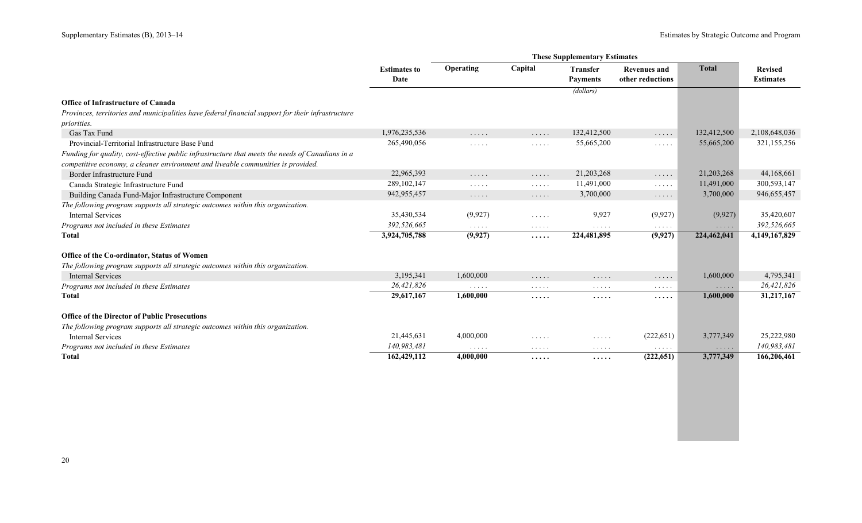|                                                                                                   | <b>Estimates to</b><br>Date | Operating                                                                   | Capital                                                           | <b>Transfer</b><br><b>Payments</b>        | <b>Revenues and</b><br>other reductions          | <b>Total</b>                       | <b>Revised</b><br><b>Estimates</b> |
|---------------------------------------------------------------------------------------------------|-----------------------------|-----------------------------------------------------------------------------|-------------------------------------------------------------------|-------------------------------------------|--------------------------------------------------|------------------------------------|------------------------------------|
|                                                                                                   |                             |                                                                             |                                                                   | (dollars)                                 |                                                  |                                    |                                    |
| <b>Office of Infrastructure of Canada</b>                                                         |                             |                                                                             |                                                                   |                                           |                                                  |                                    |                                    |
| Provinces, territories and municipalities have federal financial support for their infrastructure |                             |                                                                             |                                                                   |                                           |                                                  |                                    |                                    |
| <i>priorities.</i>                                                                                |                             |                                                                             |                                                                   |                                           |                                                  |                                    |                                    |
| Gas Tax Fund                                                                                      | 1,976,235,536               | $\cdots$                                                                    | $\mathbb{Z}^2$ . In the $\mathbb{Z}^2$                            | 132,412,500                               | $\mathbb{Z}^2$ . $\mathbb{Z}^2$ , $\mathbb{Z}^2$ | 132,412,500                        | 2,108,648,036                      |
| Provincial-Territorial Infrastructure Base Fund                                                   | 265,490,056                 | $\mathbb{Z}^n$ . $\mathbb{Z}^n$ , $\mathbb{Z}^n$ ,                          | $\mathbb{Z}^2$ . $\mathbb{Z}^2$ , $\mathbb{Z}^2$                  | 55,665,200                                | $\mathbb{Z}^n$ . $\mathbb{Z}^n$ , $\mathbb{Z}^n$ | 55,665,200                         | 321,155,256                        |
| Funding for quality, cost-effective public infrastructure that meets the needs of Canadians in a  |                             |                                                                             |                                                                   |                                           |                                                  |                                    |                                    |
| competitive economy, a cleaner environment and liveable communities is provided.                  |                             |                                                                             |                                                                   |                                           |                                                  |                                    |                                    |
| Border Infrastructure Fund                                                                        | 22,965,393                  | $\sim$ $\sim$ $\sim$ $\sim$ $\sim$                                          | $\mathbb{Z}^2$ . In the $\mathbb{Z}^2$                            | 21,203,268                                | $\mathbb{Z}^n$ . $\mathbb{Z}^n$ , $\mathbb{Z}^n$ | 21,203,268                         | 44,168,661                         |
| Canada Strategic Infrastructure Fund                                                              | 289, 102, 147               | $\sim$ $\sim$ $\sim$ $\sim$ $\sim$                                          | $\ldots$                                                          | 11,491,000                                | $\ldots$                                         | 11,491,000                         | 300,593,147                        |
| Building Canada Fund-Major Infrastructure Component                                               | 942,955,457                 | $\ldots$                                                                    | $\mathbb{Z}^2$ . $\mathbb{Z}^2$ , $\mathbb{Z}^2$                  | 3,700,000                                 | $\ldots$                                         | 3,700,000                          | 946,655,457                        |
| The following program supports all strategic outcomes within this organization.                   |                             |                                                                             |                                                                   |                                           |                                                  |                                    |                                    |
| <b>Internal Services</b>                                                                          | 35,430,534                  | (9,927)                                                                     | $\mathbb{Z}^n$ . $\mathbb{Z}^n$ , $\mathbb{Z}^n$ , $\mathbb{Z}^n$ | 9,927                                     | (9,927)                                          | (9,927)                            | 35,420,607                         |
| Programs not included in these Estimates                                                          | 392,526,665                 | $\alpha$ , $\alpha$ , $\alpha$ , $\alpha$                                   | $\cdots$                                                          | $\sim$ $\sim$ $\sim$ $\sim$ $\sim$        | $\sim$ $\sim$ $\sim$ $\sim$ $\sim$               | $\sim$ $\sim$ $\sim$ $\sim$ $\sim$ | 392,526,665                        |
| <b>Total</b>                                                                                      | 3,924,705,788               | (9,927)                                                                     | .                                                                 | 224,481,895                               | (9,927)                                          | 224,462,041                        | 4,149,167,829                      |
| Office of the Co-ordinator, Status of Women                                                       |                             |                                                                             |                                                                   |                                           |                                                  |                                    |                                    |
| The following program supports all strategic outcomes within this organization.                   |                             |                                                                             |                                                                   |                                           |                                                  |                                    |                                    |
| <b>Internal Services</b>                                                                          | 3,195,341                   | 1,600,000                                                                   | $\ldots$                                                          | .                                         | $\ldots$                                         | 1,600,000                          | 4,795,341                          |
| Programs not included in these Estimates                                                          | 26,421,826                  | $\alpha$ , $\alpha$ , $\alpha$ , $\alpha$                                   | $\cdots$                                                          | $\alpha$ , $\alpha$ , $\alpha$ , $\alpha$ | $\alpha$ , and $\alpha$ , and $\alpha$           | $\ldots$                           | 26,421,826                         |
| <b>Total</b>                                                                                      | 29,617,167                  | 1,600,000                                                                   | .                                                                 | .                                         | .                                                | 1,600,000                          | 31,217,167                         |
| <b>Office of the Director of Public Prosecutions</b>                                              |                             |                                                                             |                                                                   |                                           |                                                  |                                    |                                    |
| The following program supports all strategic outcomes within this organization.                   |                             |                                                                             |                                                                   |                                           |                                                  |                                    |                                    |
| <b>Internal Services</b>                                                                          | 21,445,631                  | 4,000,000                                                                   | $\mathcal{L}^{\mathcal{A}}$ . The set of $\mathcal{A}$            | $\cdots$                                  | (222, 651)                                       | 3,777,349                          | 25,222,980                         |
| Programs not included in these Estimates                                                          | 140,983,481                 | $\mathcal{L}(\mathcal{L}(\mathcal{L},\mathcal{L},\mathcal{L},\mathcal{L}))$ | $\cdots$                                                          | $\sim$ $\sim$ $\sim$ $\sim$ $\sim$        | $\sim$ $\sim$ $\sim$ $\sim$ $\sim$               | $\cdots\cdots\cdots$               | 140,983,481                        |
| Total                                                                                             | 162,429,112                 | 4,000,000                                                                   | .                                                                 | .                                         | (222, 651)                                       | 3,777,349                          | 166,206,461                        |
|                                                                                                   |                             |                                                                             |                                                                   |                                           |                                                  |                                    |                                    |
|                                                                                                   |                             |                                                                             |                                                                   |                                           |                                                  |                                    |                                    |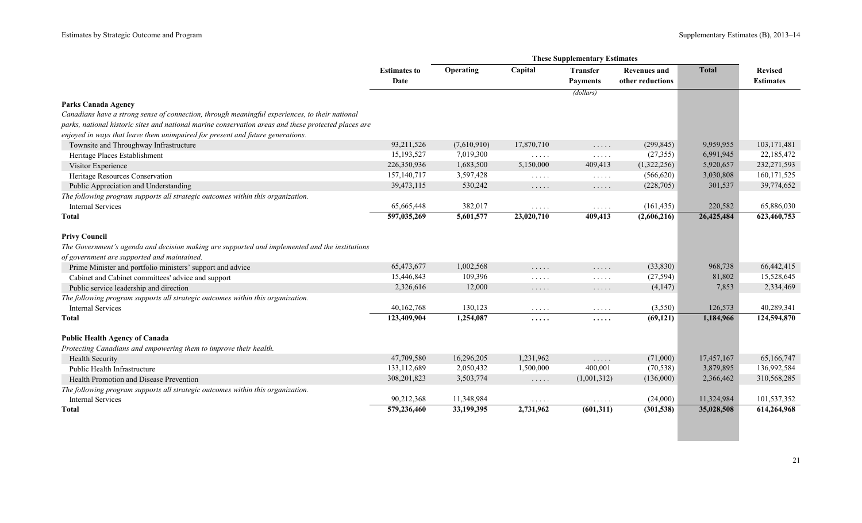|                                                                                                      | <b>Estimates to</b><br>Date | Operating   | Capital                                            | <b>Transfer</b><br><b>Payments</b>               | <b>Revenues and</b><br>other reductions | <b>Total</b> | <b>Revised</b><br><b>Estimates</b> |
|------------------------------------------------------------------------------------------------------|-----------------------------|-------------|----------------------------------------------------|--------------------------------------------------|-----------------------------------------|--------------|------------------------------------|
|                                                                                                      |                             |             |                                                    | (dollars)                                        |                                         |              |                                    |
| <b>Parks Canada Agency</b>                                                                           |                             |             |                                                    |                                                  |                                         |              |                                    |
| Canadians have a strong sense of connection, through meaningful experiences, to their national       |                             |             |                                                    |                                                  |                                         |              |                                    |
| parks, national historic sites and national marine conservation areas and these protected places are |                             |             |                                                    |                                                  |                                         |              |                                    |
| enjoyed in ways that leave them unimpaired for present and future generations.                       |                             |             |                                                    |                                                  |                                         |              |                                    |
| Townsite and Throughway Infrastructure                                                               | 93,211,526                  | (7,610,910) | 17,870,710                                         | $\ldots$                                         | (299, 845)                              | 9,959,955    | 103, 171, 481                      |
| Heritage Places Establishment                                                                        | 15,193,527                  | 7,019,300   | 1.1.1.1                                            | $\ldots$                                         | (27, 355)                               | 6,991,945    | 22,185,472                         |
| Visitor Experience                                                                                   | 226,350,936                 | 1,683,500   | 5,150,000                                          | 409,413                                          | (1,322,256)                             | 5,920,657    | 232,271,593                        |
| Heritage Resources Conservation                                                                      | 157,140,717                 | 3,597,428   | $\Box$                                             | $\mathbb{Z}^n$ . $\mathbb{Z}^n$ , $\mathbb{Z}^n$ | (566, 620)                              | 3,030,808    | 160, 171, 525                      |
| Public Appreciation and Understanding                                                                | 39,473,115                  | 530,242     | $\ldots$                                           | $\ldots$                                         | (228, 705)                              | 301,537      | 39,774,652                         |
| The following program supports all strategic outcomes within this organization.                      |                             |             |                                                    |                                                  |                                         |              |                                    |
| <b>Internal Services</b>                                                                             | 65,665,448                  | 382,017     | $\sim$ $\sim$ $\sim$ $\sim$ $\sim$                 | $\sim$ $\sim$ $\sim$ $\sim$ $\sim$               | (161, 435)                              | 220,582      | 65,886,030                         |
| Total                                                                                                | 597,035,269                 | 5,601,577   | 23,020,710                                         | 409,413                                          | (2,606,216)                             | 26,425,484   | 623,460,753                        |
| <b>Privy Council</b>                                                                                 |                             |             |                                                    |                                                  |                                         |              |                                    |
| The Government's agenda and decision making are supported and implemented and the institutions       |                             |             |                                                    |                                                  |                                         |              |                                    |
| of government are supported and maintained.                                                          |                             |             |                                                    |                                                  |                                         |              |                                    |
| Prime Minister and portfolio ministers' support and advice                                           | 65,473,677                  | 1,002,568   | $\ldots$                                           | $\ldots$                                         | (33, 830)                               | 968,738      | 66,442,415                         |
| Cabinet and Cabinet committees' advice and support                                                   | 15,446,843                  | 109,396     | $\mathbb{Z}^2$ . $\mathbb{Z}^2$ , $\mathbb{Z}^2$   | $\ldots$                                         | (27, 594)                               | 81,802       | 15,528,645                         |
| Public service leadership and direction                                                              | 2,326,616                   | 12,000      | $\ldots$                                           | $\ldots$                                         | (4,147)                                 | 7,853        | 2,334,469                          |
| The following program supports all strategic outcomes within this organization.                      |                             |             |                                                    |                                                  |                                         |              |                                    |
| <b>Internal Services</b>                                                                             | 40,162,768                  | 130,123     | $\sim$ $\sim$ $\sim$ $\sim$ $\sim$                 | $\sim$ $\sim$ $\sim$ $\sim$ $\sim$               | (3,550)                                 | 126,573      | 40,289,341                         |
| <b>Total</b>                                                                                         | 123,409,904                 | 1,254,087   | .                                                  | .                                                | (69, 121)                               | 1,184,966    | 124,594,870                        |
| <b>Public Health Agency of Canada</b>                                                                |                             |             |                                                    |                                                  |                                         |              |                                    |
| Protecting Canadians and empowering them to improve their health.                                    |                             |             |                                                    |                                                  |                                         |              |                                    |
| <b>Health Security</b>                                                                               | 47,709,580                  | 16,296,205  | 1,231,962                                          | $\mathbb{Z}^2$ . In the $\mathbb{Z}^2$           | (71,000)                                | 17,457,167   | 65,166,747                         |
| Public Health Infrastructure                                                                         | 133, 112, 689               | 2,050,432   | 1,500,000                                          | 400,001                                          | (70, 538)                               | 3,879,895    | 136,992,584                        |
| Health Promotion and Disease Prevention                                                              | 308, 201, 823               | 3,503,774   | $\ldots$                                           | (1,001,312)                                      | (136,000)                               | 2,366,462    | 310,568,285                        |
| The following program supports all strategic outcomes within this organization.                      |                             |             |                                                    |                                                  |                                         |              |                                    |
| <b>Internal Services</b>                                                                             | 90,212,368                  | 11,348,984  | $\mathbb{Z}^n$ . $\mathbb{Z}^n$ , $\mathbb{Z}^n$ , | $\sim$ $\sim$ $\sim$ $\sim$ $\sim$               | (24,000)                                | 11,324,984   | 101,537,352                        |
| Total                                                                                                | 579,236,460                 | 33,199,395  | 2,731,962                                          | (601,311)                                        | (301, 538)                              | 35,028,508   | 614,264,968                        |
|                                                                                                      |                             |             |                                                    |                                                  |                                         |              |                                    |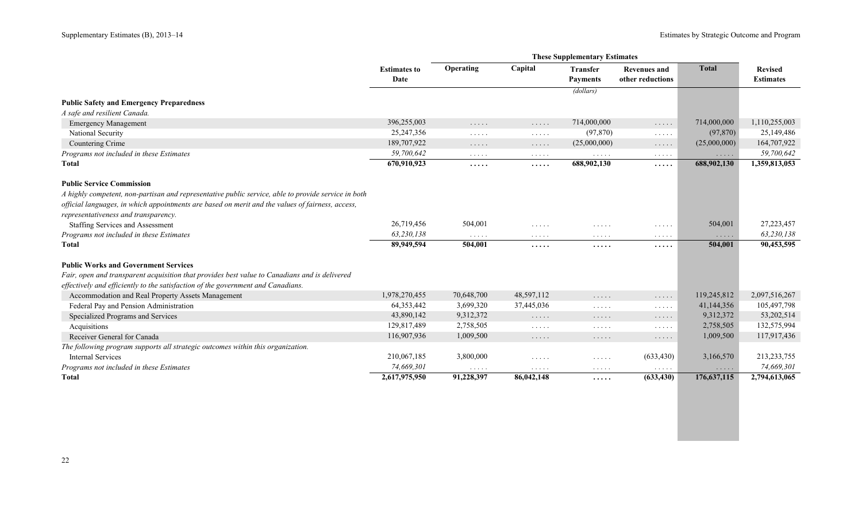|                                                                                                     |                     |                                           |                                                                                                                 | <b>These Supplementary Estimates</b>                   |                                                                                                                 |                                                    |                  |
|-----------------------------------------------------------------------------------------------------|---------------------|-------------------------------------------|-----------------------------------------------------------------------------------------------------------------|--------------------------------------------------------|-----------------------------------------------------------------------------------------------------------------|----------------------------------------------------|------------------|
|                                                                                                     | <b>Estimates to</b> | Operating                                 | Capital                                                                                                         | <b>Transfer</b>                                        | <b>Revenues and</b>                                                                                             | <b>Total</b>                                       | <b>Revised</b>   |
|                                                                                                     | Date                |                                           |                                                                                                                 | <b>Payments</b>                                        | other reductions                                                                                                |                                                    | <b>Estimates</b> |
|                                                                                                     |                     |                                           |                                                                                                                 | (dollars)                                              |                                                                                                                 |                                                    |                  |
| <b>Public Safety and Emergency Preparedness</b>                                                     |                     |                                           |                                                                                                                 |                                                        |                                                                                                                 |                                                    |                  |
| A safe and resilient Canada.                                                                        |                     |                                           |                                                                                                                 |                                                        |                                                                                                                 |                                                    |                  |
| <b>Emergency Management</b>                                                                         | 396,255,003         | $\sim$ $\sim$ $\sim$ $\sim$ $\sim$        | $\ldots$                                                                                                        | 714,000,000                                            | .                                                                                                               | 714,000,000                                        | 1,110,255,003    |
| National Security                                                                                   | 25, 247, 356        | $\sim$ $\sim$ $\sim$ $\sim$ $\sim$        | $\ldots$                                                                                                        | (97, 870)                                              | $\mathbb{Z}^2$ . In the set of $\mathbb{Z}^2$                                                                   | (97, 870)                                          | 25,149,486       |
| Countering Crime                                                                                    | 189,707,922         | $\ldots$                                  | $\sim$ $\sim$ $\sim$ $\sim$ $\sim$                                                                              | (25,000,000)                                           | $\cdots$                                                                                                        | (25,000,000)                                       | 164,707,922      |
| Programs not included in these Estimates                                                            | 59,700,642          | $\alpha$ , $\alpha$ , $\alpha$ , $\alpha$ | $\ldots$                                                                                                        | $\ldots$                                               | $\alpha$ , and $\alpha$ , and                                                                                   | $\mathbf{1}$ , and $\mathbf{1}$ , and $\mathbf{1}$ | 59,700,642       |
| <b>Total</b>                                                                                        | 670,910,923         | $\cdots$ .                                | .                                                                                                               | 688,902,130                                            | .                                                                                                               | 688,902,130                                        | 1,359,813,053    |
| <b>Public Service Commission</b>                                                                    |                     |                                           |                                                                                                                 |                                                        |                                                                                                                 |                                                    |                  |
| A highly competent, non-partisan and representative public service, able to provide service in both |                     |                                           |                                                                                                                 |                                                        |                                                                                                                 |                                                    |                  |
| official languages, in which appointments are based on merit and the values of fairness, access,    |                     |                                           |                                                                                                                 |                                                        |                                                                                                                 |                                                    |                  |
| representativeness and transparency.                                                                |                     |                                           |                                                                                                                 |                                                        |                                                                                                                 |                                                    |                  |
| Staffing Services and Assessment                                                                    | 26,719,456          | 504,001                                   | $\cdots$                                                                                                        | .                                                      | $\cdots\cdots\cdots$                                                                                            | 504,001                                            | 27, 223, 457     |
| Programs not included in these Estimates                                                            | 63,230,138          | $\sim$ $\sim$ $\sim$ $\sim$ $\sim$        | $\alpha$ , $\alpha$ , $\alpha$ , $\alpha$                                                                       | $\cdots$                                               | $\begin{array}{cccccccccccccc} \bullet & \bullet & \bullet & \bullet & \bullet & \bullet & \bullet \end{array}$ | $\cdots$                                           | 63,230,138       |
| <b>Total</b>                                                                                        | 89,949,594          | 504,001                                   | .                                                                                                               | .                                                      | .                                                                                                               | 504,001                                            | 90,453,595       |
| <b>Public Works and Government Services</b>                                                         |                     |                                           |                                                                                                                 |                                                        |                                                                                                                 |                                                    |                  |
| Fair, open and transparent acquisition that provides best value to Canadians and is delivered       |                     |                                           |                                                                                                                 |                                                        |                                                                                                                 |                                                    |                  |
| effectively and efficiently to the satisfaction of the government and Canadians.                    |                     |                                           |                                                                                                                 |                                                        |                                                                                                                 |                                                    |                  |
| Accommodation and Real Property Assets Management                                                   | 1,978,270,455       | 70,648,700                                | 48,597,112                                                                                                      | $\ldots$                                               | $\cdots$                                                                                                        | 119,245,812                                        | 2,097,516,267    |
| Federal Pay and Pension Administration                                                              | 64,353,442          | 3,699,320                                 | 37,445,036                                                                                                      | $\mathbb{Z}^n$ . $\mathbb{Z}^n$ , $\mathbb{Z}^n$       | $\mathbb{Z}^2$ . $\mathbb{Z}^2$ , $\mathbb{Z}^2$                                                                | 41,144,356                                         | 105,497,798      |
| Specialized Programs and Services                                                                   | 43,890,142          | 9,312,372                                 | $\ldots$                                                                                                        | $\sim$ $\sim$ $\sim$ $\sim$ $\sim$                     | .                                                                                                               | 9,312,372                                          | 53,202,514       |
| Acquisitions                                                                                        | 129,817,489         | 2,758,505                                 | $\cdots$                                                                                                        | $\cdots$                                               | $\mathbb{Z}^2$ , $\mathbb{Z}^2$ , $\mathbb{Z}^2$ , $\mathbb{Z}^2$                                               | 2,758,505                                          | 132,575,994      |
| Receiver General for Canada                                                                         | 116,907,936         | 1,009,500                                 | $\ldots$                                                                                                        | $\cdots\cdots\cdots$                                   | $\ldots$                                                                                                        | 1,009,500                                          | 117,917,436      |
| The following program supports all strategic outcomes within this organization.                     |                     |                                           |                                                                                                                 |                                                        |                                                                                                                 |                                                    |                  |
| <b>Internal Services</b>                                                                            | 210,067,185         | 3,800,000                                 | $\cdots$                                                                                                        | $\mathcal{L}^{\mathcal{A}}$ . The set of $\mathcal{A}$ | (633, 430)                                                                                                      | 3,166,570                                          | 213,233,755      |
| Programs not included in these Estimates                                                            | 74,669,301          | $\alpha$ , $\alpha$ , $\alpha$ , $\alpha$ | $\begin{array}{cccccccccccccc} \bullet & \bullet & \bullet & \bullet & \bullet & \bullet & \bullet \end{array}$ | $\cdots\cdots\cdots$                                   | $\sim$ $\sim$ $\sim$ $\sim$ $\sim$                                                                              | $\cdots$                                           | 74,669,301       |
| <b>Total</b>                                                                                        | 2,617,975,950       | 91,228,397                                | 86,042,148                                                                                                      | .                                                      | (633, 430)                                                                                                      | 176, 637, 115                                      | 2,794,613,065    |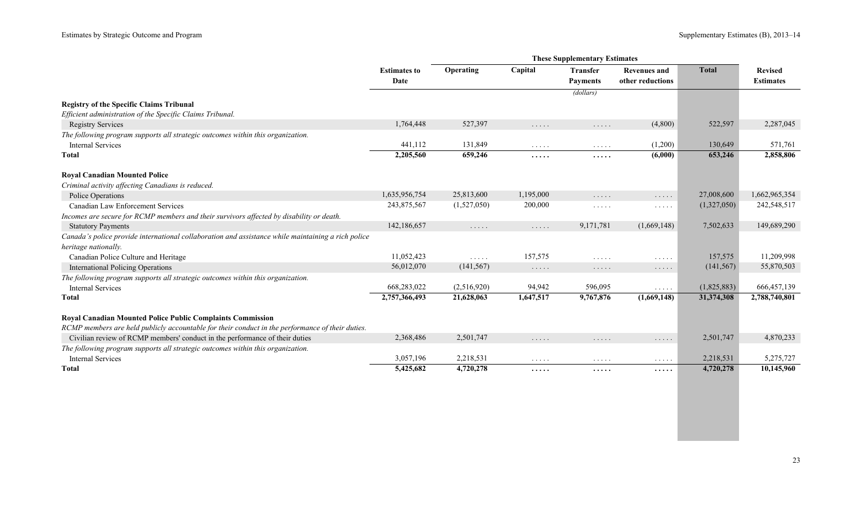|                                                                                                    |                             |                                    | <b>These Supplementary Estimates</b> |                                                        |                                               |              |                                    |
|----------------------------------------------------------------------------------------------------|-----------------------------|------------------------------------|--------------------------------------|--------------------------------------------------------|-----------------------------------------------|--------------|------------------------------------|
|                                                                                                    | <b>Estimates to</b><br>Date | Operating                          | Capital                              | <b>Transfer</b><br><b>Payments</b>                     | <b>Revenues and</b><br>other reductions       | <b>Total</b> | <b>Revised</b><br><b>Estimates</b> |
|                                                                                                    |                             |                                    |                                      | (dollars)                                              |                                               |              |                                    |
| <b>Registry of the Specific Claims Tribunal</b>                                                    |                             |                                    |                                      |                                                        |                                               |              |                                    |
| Efficient administration of the Specific Claims Tribunal.                                          |                             |                                    |                                      |                                                        |                                               |              |                                    |
| <b>Registry Services</b>                                                                           | 1,764,448                   | 527,397                            | $\cdots$                             | $\cdots\cdots\cdots$                                   | (4,800)                                       | 522,597      | 2,287,045                          |
| The following program supports all strategic outcomes within this organization.                    |                             |                                    |                                      |                                                        |                                               |              |                                    |
| <b>Internal Services</b>                                                                           | 441,112                     | 131,849                            | $\cdots\cdots\cdots$                 | $\cdots \cdots \cdots$                                 | (1,200)                                       | 130,649      | 571,761                            |
| <b>Total</b>                                                                                       | 2,205,560                   | 659,246                            | .                                    | .                                                      | (6,000)                                       | 653,246      | 2,858,806                          |
| <b>Royal Canadian Mounted Police</b>                                                               |                             |                                    |                                      |                                                        |                                               |              |                                    |
| Criminal activity affecting Canadians is reduced.                                                  |                             |                                    |                                      |                                                        |                                               |              |                                    |
| Police Operations                                                                                  | 1,635,956,754               | 25,813,600                         | 1,195,000                            | $\ldots$                                               | .                                             | 27,008,600   | 1,662,965,354                      |
| <b>Canadian Law Enforcement Services</b>                                                           | 243,875,567                 | (1,527,050)                        | 200,000                              | $\mathcal{L}^{\mathcal{A}}$ . The set of $\mathcal{A}$ | $\ldots$                                      | (1,327,050)  | 242,548,517                        |
| Incomes are secure for RCMP members and their survivors affected by disability or death.           |                             |                                    |                                      |                                                        |                                               |              |                                    |
| <b>Statutory Payments</b>                                                                          | 142,186,657                 | $\sim$ $\sim$ $\sim$ $\sim$ $\sim$ | $\ldots$                             | 9,171,781                                              | (1,669,148)                                   | 7,502,633    | 149,689,290                        |
| Canada's police provide international collaboration and assistance while maintaining a rich police |                             |                                    |                                      |                                                        |                                               |              |                                    |
| heritage nationally.                                                                               |                             |                                    |                                      |                                                        |                                               |              |                                    |
| Canadian Police Culture and Heritage                                                               | 11,052,423                  | $\ldots$                           | 157,575                              | .                                                      | $\ldots$                                      | 157,575      | 11,209,998                         |
| <b>International Policing Operations</b>                                                           | 56,012,070                  | (141, 567)                         | $\cdots$                             | $\cdots\cdots\cdots$                                   | .                                             | (141, 567)   | 55,870,503                         |
| The following program supports all strategic outcomes within this organization.                    |                             |                                    |                                      |                                                        |                                               |              |                                    |
| <b>Internal Services</b>                                                                           | 668,283,022                 | (2,516,920)                        | 94,942                               | 596,095                                                | $\mathbb{Z}^2$ . In the set of $\mathbb{Z}^2$ | (1,825,883)  | 666, 457, 139                      |
| <b>Total</b>                                                                                       | 2,757,366,493               | 21,628,063                         | 1,647,517                            | 9,767,876                                              | (1,669,148)                                   | 31,374,308   | 2,788,740,801                      |
| Royal Canadian Mounted Police Public Complaints Commission                                         |                             |                                    |                                      |                                                        |                                               |              |                                    |
| RCMP members are held publicly accountable for their conduct in the performance of their duties.   |                             |                                    |                                      |                                                        |                                               |              |                                    |
| Civilian review of RCMP members' conduct in the performance of their duties                        | 2,368,486                   | 2,501,747                          | $\cdots$                             | $\ldots$                                               | $\cdots$                                      | 2,501,747    | 4,870,233                          |
| The following program supports all strategic outcomes within this organization.                    |                             |                                    |                                      |                                                        |                                               |              |                                    |
| <b>Internal Services</b>                                                                           | 3,057,196                   | 2,218,531                          | $\sim$ $\sim$ $\sim$ $\sim$ $\sim$   | $\cdots$                                               | $\ldots$                                      | 2,218,531    | 5,275,727                          |
| <b>Total</b>                                                                                       | 5,425,682                   | 4,720,278                          | .                                    | .                                                      | .                                             | 4,720,278    | 10,145,960                         |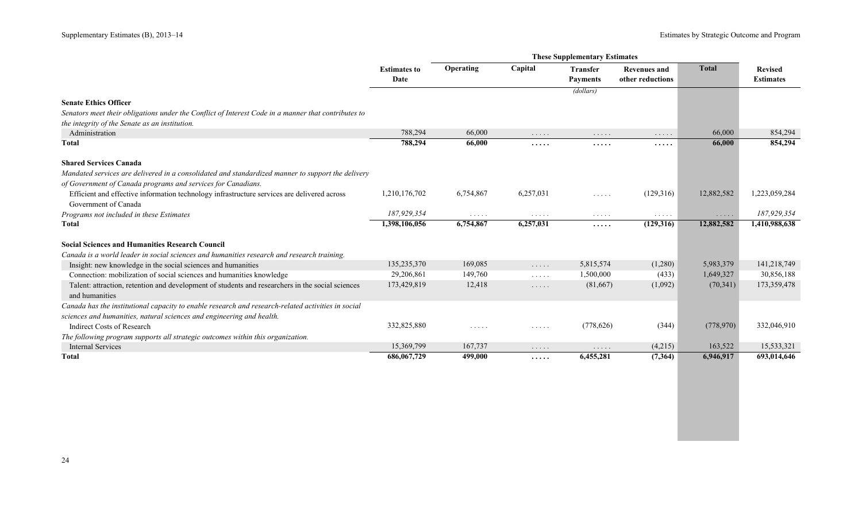|                                                                                                     | <b>Estimates to</b><br>Date | Operating                          | Capital                            | <b>Transfer</b><br><b>Payments</b>                                | <b>Revenues and</b><br>other reductions                     | <b>Total</b>                       | <b>Revised</b><br><b>Estimates</b> |
|-----------------------------------------------------------------------------------------------------|-----------------------------|------------------------------------|------------------------------------|-------------------------------------------------------------------|-------------------------------------------------------------|------------------------------------|------------------------------------|
|                                                                                                     |                             |                                    |                                    | (dollars)                                                         |                                                             |                                    |                                    |
| <b>Senate Ethics Officer</b>                                                                        |                             |                                    |                                    |                                                                   |                                                             |                                    |                                    |
| Senators meet their obligations under the Conflict of Interest Code in a manner that contributes to |                             |                                    |                                    |                                                                   |                                                             |                                    |                                    |
| the integrity of the Senate as an institution.                                                      |                             |                                    |                                    |                                                                   |                                                             |                                    |                                    |
| Administration                                                                                      | 788,294                     | 66,000                             | $\ldots$                           | .                                                                 | $\ldots$                                                    | 66,000                             | 854,294                            |
| <b>Total</b>                                                                                        | 788,294                     | 66,000                             | .                                  | .                                                                 | .                                                           | 66,000                             | 854,294                            |
| <b>Shared Services Canada</b>                                                                       |                             |                                    |                                    |                                                                   |                                                             |                                    |                                    |
| Mandated services are delivered in a consolidated and standardized manner to support the delivery   |                             |                                    |                                    |                                                                   |                                                             |                                    |                                    |
| of Government of Canada programs and services for Canadians.                                        |                             |                                    |                                    |                                                                   |                                                             |                                    |                                    |
| Efficient and effective information technology infrastructure services are delivered across         | 1,210,176,702               | 6,754,867                          | 6,257,031                          | $\mathbb{Z}^2$ . $\mathbb{Z}^2$ , $\mathbb{Z}^2$ , $\mathbb{Z}^2$ | (129,316)                                                   | 12,882,582                         | 1,223,059,284                      |
| Government of Canada                                                                                |                             |                                    |                                    |                                                                   |                                                             |                                    |                                    |
| Programs not included in these Estimates                                                            | 187,929,354                 | $\sim$ $\sim$ $\sim$ $\sim$ $\sim$ | $\ldots$                           | $\cdots\cdots\cdots$                                              | $\mathcal{L}(\mathcal{A})$ , and $\mathcal{A}(\mathcal{A})$ | $\sim$ $\sim$ $\sim$ $\sim$ $\sim$ | 187,929,354                        |
| Total                                                                                               | 1,398,106,056               | 6,754,867                          | 6,257,031                          | .                                                                 | (129,316)                                                   | 12,882,582                         | 1,410,988,638                      |
| <b>Social Sciences and Humanities Research Council</b>                                              |                             |                                    |                                    |                                                                   |                                                             |                                    |                                    |
| Canada is a world leader in social sciences and humanities research and research training.          |                             |                                    |                                    |                                                                   |                                                             |                                    |                                    |
| Insight: new knowledge in the social sciences and humanities                                        | 135,235,370                 | 169,085                            | .                                  | 5,815,574                                                         | (1,280)                                                     | 5,983,379                          | 141,218,749                        |
| Connection: mobilization of social sciences and humanities knowledge                                | 29,206,861                  | 149,760                            | $\sim$ $\sim$ $\sim$ $\sim$ $\sim$ | 1,500,000                                                         | (433)                                                       | 1,649,327                          | 30,856,188                         |
| Talent: attraction, retention and development of students and researchers in the social sciences    | 173,429,819                 | 12,418                             |                                    | (81,667)                                                          | (1,092)                                                     | (70, 341)                          | 173,359,478                        |
| and humanities                                                                                      |                             |                                    | $\ldots$                           |                                                                   |                                                             |                                    |                                    |
| Canada has the institutional capacity to enable research and research-related activities in social  |                             |                                    |                                    |                                                                   |                                                             |                                    |                                    |
| sciences and humanities, natural sciences and engineering and health.                               |                             |                                    |                                    |                                                                   |                                                             |                                    |                                    |
| <b>Indirect Costs of Research</b>                                                                   | 332,825,880                 | $\sim$ $\sim$ $\sim$ $\sim$ $\sim$ | $\sim$ $\sim$ $\sim$ $\sim$ $\sim$ | (778, 626)                                                        | (344)                                                       | (778, 970)                         | 332,046,910                        |
| The following program supports all strategic outcomes within this organization.                     |                             |                                    |                                    |                                                                   |                                                             |                                    |                                    |
| <b>Internal Services</b>                                                                            | 15,369,799                  | 167,737                            | $\cdots$                           | .                                                                 | (4,215)                                                     | 163,522                            | 15,533,321                         |
| <b>Total</b>                                                                                        | 686,067,729                 | 499,000                            | .                                  | 6,455,281                                                         | (7,364)                                                     | 6,946,917                          | 693,014,646                        |
|                                                                                                     |                             |                                    |                                    |                                                                   |                                                             |                                    |                                    |
|                                                                                                     |                             |                                    |                                    |                                                                   |                                                             |                                    |                                    |
|                                                                                                     |                             |                                    |                                    |                                                                   |                                                             |                                    |                                    |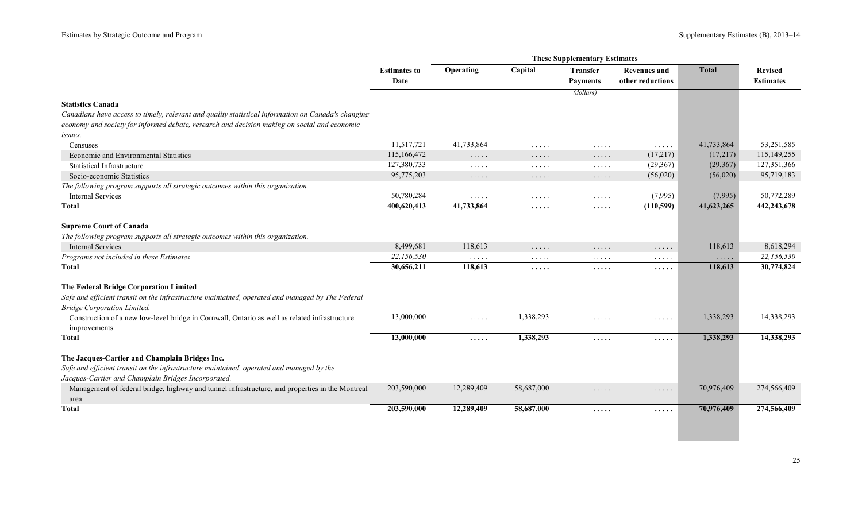|                                                                                                                                                 |                             | <b>These Supplementary Estimates</b>                              |                                    |                                        |                                                  |                                        |                                    |
|-------------------------------------------------------------------------------------------------------------------------------------------------|-----------------------------|-------------------------------------------------------------------|------------------------------------|----------------------------------------|--------------------------------------------------|----------------------------------------|------------------------------------|
|                                                                                                                                                 | <b>Estimates to</b><br>Date | Operating                                                         | Capital                            | <b>Transfer</b><br><b>Payments</b>     | <b>Revenues and</b><br>other reductions          | <b>Total</b>                           | <b>Revised</b><br><b>Estimates</b> |
|                                                                                                                                                 |                             |                                                                   |                                    | (dollars)                              |                                                  |                                        |                                    |
| <b>Statistics Canada</b>                                                                                                                        |                             |                                                                   |                                    |                                        |                                                  |                                        |                                    |
| Canadians have access to timely, relevant and quality statistical information on Canada's changing                                              |                             |                                                                   |                                    |                                        |                                                  |                                        |                                    |
| economy and society for informed debate, research and decision making on social and economic                                                    |                             |                                                                   |                                    |                                        |                                                  |                                        |                                    |
| issues.                                                                                                                                         |                             |                                                                   |                                    |                                        |                                                  |                                        |                                    |
| Censuses                                                                                                                                        | 11,517,721                  | 41,733,864                                                        | $\cdot$                            | .                                      | $\sim$ $\sim$ $\sim$ $\sim$ $\sim$               | 41,733,864                             | 53,251,585                         |
| Economic and Environmental Statistics                                                                                                           | 115,166,472                 | $\ldots$                                                          | .                                  | $\ldots$                               | (17,217)                                         | (17,217)                               | 115,149,255                        |
| <b>Statistical Infrastructure</b>                                                                                                               | 127,380,733                 | $\ldots$                                                          | $\sim$ $\sim$ $\sim$ $\sim$ $\sim$ | $\mathbb{Z}^2$ . In the $\mathbb{Z}^2$ | (29,367)                                         | (29,367)                               | 127,351,366                        |
| Socio-economic Statistics                                                                                                                       | 95,775,203                  | $\sim$ $\sim$ $\sim$ $\sim$ $\sim$                                | $\ldots$                           | $\sim$ $\sim$ $\sim$ $\sim$ $\sim$     | (56,020)                                         | (56,020)                               | 95,719,183                         |
| The following program supports all strategic outcomes within this organization.                                                                 |                             |                                                                   |                                    |                                        |                                                  |                                        |                                    |
| <b>Internal Services</b>                                                                                                                        | 50,780,284                  | $\sim$ $\sim$ $\sim$ $\sim$ $\sim$                                | $\sim$ $\sim$ $\sim$ $\sim$ $\sim$ | $\sim$ $\sim$ $\sim$ $\sim$ $\sim$     | (7,995)                                          | (7,995)                                | 50,772,289                         |
| Total                                                                                                                                           | 400,620,413                 | 41,733,864                                                        | .                                  | $\cdots$                               | (110, 599)                                       | 41,623,265                             | 442,243,678                        |
| <b>Supreme Court of Canada</b>                                                                                                                  |                             |                                                                   |                                    |                                        |                                                  |                                        |                                    |
| The following program supports all strategic outcomes within this organization.                                                                 |                             |                                                                   |                                    |                                        |                                                  |                                        |                                    |
| <b>Internal Services</b>                                                                                                                        | 8,499,681                   | 118,613                                                           | $\cdots$                           | $\dots$                                | $\ldots$                                         | 118,613                                | 8,618,294                          |
| Programs not included in these Estimates                                                                                                        | 22,156,530                  | $\sim$ $\sim$ $\sim$ $\sim$ $\sim$                                | $\sim$ $\sim$ $\sim$ $\sim$ $\sim$ | $\sim$ $\sim$ $\sim$ $\sim$ $\sim$     | $\sim$ $\sim$ $\sim$ $\sim$ $\sim$               | $\mathbb{Z}^n$ . In the $\mathbb{Z}^n$ | 22,156,530                         |
| Total                                                                                                                                           | 30,656,211                  | 118,613                                                           | .                                  | $\cdots$                               | .                                                | 118,613                                | 30,774,824                         |
| The Federal Bridge Corporation Limited                                                                                                          |                             |                                                                   |                                    |                                        |                                                  |                                        |                                    |
| Safe and efficient transit on the infrastructure maintained, operated and managed by The Federal                                                |                             |                                                                   |                                    |                                        |                                                  |                                        |                                    |
| <b>Bridge Corporation Limited.</b>                                                                                                              |                             |                                                                   |                                    |                                        |                                                  |                                        |                                    |
| Construction of a new low-level bridge in Cornwall, Ontario as well as related infrastructure<br>improvements                                   | 13,000,000                  | $\mathbb{Z}^n$ . $\mathbb{Z}^n$ , $\mathbb{Z}^n$ , $\mathbb{Z}^n$ | 1,338,293                          | $\sim$ $\sim$ $\sim$ $\sim$ $\sim$     | $\mathbb{Z}^2$ . $\mathbb{Z}^2$ , $\mathbb{Z}^2$ | 1,338,293                              | 14,338,293                         |
| <b>Total</b>                                                                                                                                    | 13,000,000                  | .                                                                 | 1,338,293                          | $\cdots$                               | $\cdots$                                         | 1,338,293                              | 14,338,293                         |
| The Jacques-Cartier and Champlain Bridges Inc.                                                                                                  |                             |                                                                   |                                    |                                        |                                                  |                                        |                                    |
| Safe and efficient transit on the infrastructure maintained, operated and managed by the<br>Jacques-Cartier and Champlain Bridges Incorporated. |                             |                                                                   |                                    |                                        |                                                  |                                        |                                    |
| Management of federal bridge, highway and tunnel infrastructure, and properties in the Montreal<br>area                                         | 203,590,000                 | 12,289,409                                                        | 58,687,000                         | .                                      | .                                                | 70,976,409                             | 274,566,409                        |
| Total                                                                                                                                           | 203,590,000                 | 12,289,409                                                        | 58,687,000                         | $\cdots$                               | $\cdots$                                         | 70,976,409                             | 274,566,409                        |
|                                                                                                                                                 |                             |                                                                   |                                    |                                        |                                                  |                                        |                                    |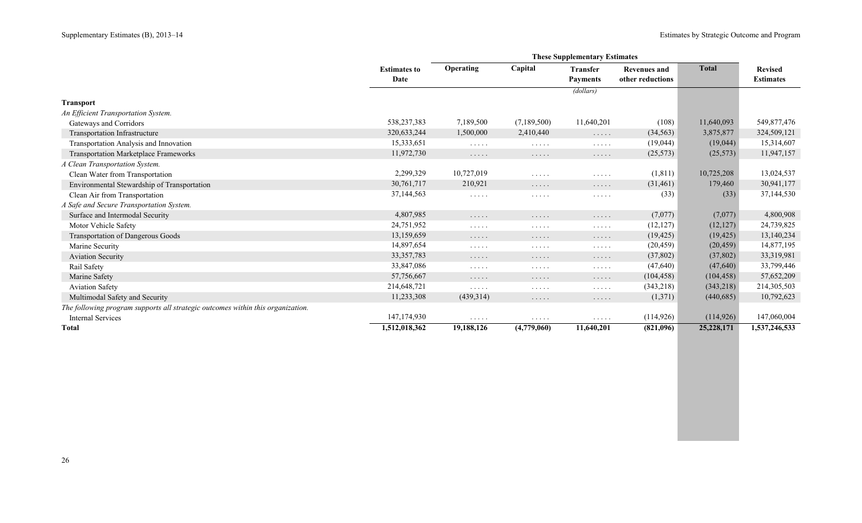|                                                                                 |                     | <b>These Supplementary Estimates</b> |                                                        |                                    |                     |              |                  |
|---------------------------------------------------------------------------------|---------------------|--------------------------------------|--------------------------------------------------------|------------------------------------|---------------------|--------------|------------------|
|                                                                                 | <b>Estimates to</b> | Operating                            | Capital                                                | <b>Transfer</b>                    | <b>Revenues and</b> | <b>Total</b> | <b>Revised</b>   |
|                                                                                 | Date                |                                      |                                                        | <b>Payments</b>                    | other reductions    |              | <b>Estimates</b> |
|                                                                                 |                     |                                      |                                                        | (dollars)                          |                     |              |                  |
| <b>Transport</b>                                                                |                     |                                      |                                                        |                                    |                     |              |                  |
| An Efficient Transportation System.                                             |                     |                                      |                                                        |                                    |                     |              |                  |
| Gateways and Corridors                                                          | 538,237,383         | 7,189,500                            | (7,189,500)                                            | 11,640,201                         | (108)               | 11,640,093   | 549,877,476      |
| Transportation Infrastructure                                                   | 320,633,244         | 1,500,000                            | 2,410,440                                              | $\ldots$                           | (34, 563)           | 3,875,877    | 324,509,121      |
| Transportation Analysis and Innovation                                          | 15,333,651          | $\cdots$                             | $\mathcal{L}^{\mathcal{A}}$ . The set of $\mathcal{A}$ | $\cdots$                           | (19,044)            | (19,044)     | 15,314,607       |
| Transportation Marketplace Frameworks                                           | 11,972,730          | $\cdots\cdots\cdots$                 | $\cdots$                                               | $\cdots$                           | (25, 573)           | (25, 573)    | 11,947,157       |
| A Clean Transportation System.                                                  |                     |                                      |                                                        |                                    |                     |              |                  |
| Clean Water from Transportation                                                 | 2,299,329           | 10,727,019                           | $\cdots\cdots\cdots$                                   | $\ldots$                           | (1, 811)            | 10,725,208   | 13,024,537       |
| Environmental Stewardship of Transportation                                     | 30,761,717          | 210,921                              | $\cdots$                                               | .                                  | (31, 461)           | 179,460      | 30,941,177       |
| Clean Air from Transportation                                                   | 37,144,563          | $\cdots$                             | $\cdots$                                               | $\cdots$                           | (33)                | (33)         | 37,144,530       |
| A Safe and Secure Transportation System.                                        |                     |                                      |                                                        |                                    |                     |              |                  |
| Surface and Intermodal Security                                                 | 4,807,985           | $\cdots$                             | .                                                      | .                                  | (7,077)             | (7,077)      | 4,800,908        |
| Motor Vehicle Safety                                                            | 24,751,952          | $\cdots$                             | $\cdots$                                               | $\sim$ $\sim$ $\sim$ $\sim$ $\sim$ | (12, 127)           | (12, 127)    | 24,739,825       |
| Transportation of Dangerous Goods                                               | 13,159,659          | $\cdots\cdots\cdots$                 | $\cdots\cdots\cdots$                                   | $\cdots$                           | (19, 425)           | (19, 425)    | 13,140,234       |
| Marine Security                                                                 | 14,897,654          | $\cdots\cdots\cdots$                 | $\cdots \cdots \cdots$                                 | $\ldots$                           | (20, 459)           | (20, 459)    | 14,877,195       |
| <b>Aviation Security</b>                                                        | 33, 357, 783        | $\cdots$                             | $\cdots$                                               | .                                  | (37, 802)           | (37, 802)    | 33,319,981       |
| Rail Safety                                                                     | 33,847,086          | $\cdots$                             | $\cdots$                                               | $\cdots$                           | (47, 640)           | (47, 640)    | 33,799,446       |
| Marine Safety                                                                   | 57,756,667          | $\cdots$                             | $\cdots$                                               | .                                  | (104, 458)          | (104, 458)   | 57,652,209       |
| <b>Aviation Safety</b>                                                          | 214,648,721         | $\cdots$                             | $\mathcal{L}^{\mathcal{A}}$ . The set of $\mathcal{A}$ | $\cdots$                           | (343,218)           | (343,218)    | 214,305,503      |
| Multimodal Safety and Security                                                  | 11,233,308          | (439,314)                            | $\cdots$                                               | $\cdots$                           | (1,371)             | (440, 685)   | 10,792,623       |
| The following program supports all strategic outcomes within this organization. |                     |                                      |                                                        |                                    |                     |              |                  |
| <b>Internal Services</b>                                                        | 147, 174, 930       | $\cdots$                             | $\cdots$                                               | $\cdots$                           | (114, 926)          | (114, 926)   | 147,060,004      |
| <b>Total</b>                                                                    | 1,512,018,362       | 19,188,126                           | (4,779,060)                                            | 11,640,201                         | (821,096)           | 25,228,171   | 1,537,246,533    |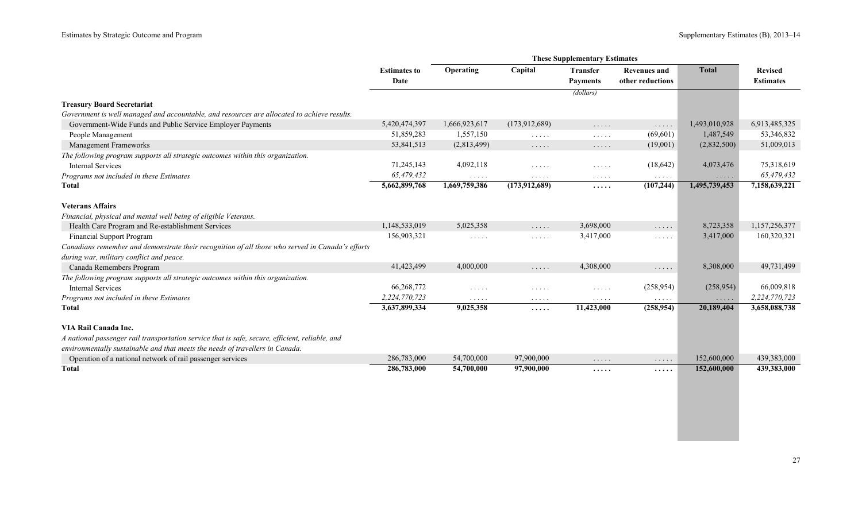|                                                                                                  | <b>These Supplementary Estimates</b> |                                        |                                           |                                                        |                                         |               |                                    |
|--------------------------------------------------------------------------------------------------|--------------------------------------|----------------------------------------|-------------------------------------------|--------------------------------------------------------|-----------------------------------------|---------------|------------------------------------|
|                                                                                                  | <b>Estimates to</b><br>Date          | Operating                              | Capital                                   | <b>Transfer</b><br><b>Payments</b>                     | <b>Revenues and</b><br>other reductions | <b>Total</b>  | <b>Revised</b><br><b>Estimates</b> |
|                                                                                                  |                                      |                                        |                                           | (dollars)                                              |                                         |               |                                    |
| <b>Treasury Board Secretariat</b>                                                                |                                      |                                        |                                           |                                                        |                                         |               |                                    |
| Government is well managed and accountable, and resources are allocated to achieve results.      |                                      |                                        |                                           |                                                        |                                         |               |                                    |
| Government-Wide Funds and Public Service Employer Payments                                       | 5,420,474,397                        | 1,666,923,617                          | (173, 912, 689)                           | $\sim$ $\sim$ $\sim$ $\sim$ $\sim$                     | .                                       | 1,493,010,928 | 6,913,485,325                      |
| People Management                                                                                | 51,859,283                           | 1,557,150                              | $\sim$ $\sim$ $\sim$ $\sim$ $\sim$        | $\mathcal{L}^{\mathcal{A}}$ . The set of $\mathcal{A}$ | (69,601)                                | 1,487,549     | 53,346,832                         |
| Management Frameworks                                                                            | 53,841,513                           | (2,813,499)                            | $\cdots\cdots\cdots$                      | $\cdots\cdots\cdots$                                   | (19,001)                                | (2,832,500)   | 51,009,013                         |
| The following program supports all strategic outcomes within this organization.                  |                                      |                                        |                                           |                                                        |                                         |               |                                    |
| <b>Internal Services</b>                                                                         | 71,245,143                           | 4,092,118                              | $\cdots$                                  | $\sim$ $\sim$ $\sim$ $\sim$ $\sim$                     | (18, 642)                               | 4,073,476     | 75,318,619                         |
| Programs not included in these Estimates                                                         | 65.479.432                           | $\alpha$ , and $\alpha$ , and $\alpha$ | $\cdots$                                  | $\cdots$                                               | .                                       | .             | 65,479,432                         |
| <b>Total</b>                                                                                     | 5,662,899,768                        | 1,669,759,386                          | (173, 912, 689)                           | .                                                      | (107, 244)                              | 1,495,739,453 | 7,158,639,221                      |
| <b>Veterans Affairs</b>                                                                          |                                      |                                        |                                           |                                                        |                                         |               |                                    |
| Financial, physical and mental well being of eligible Veterans.                                  |                                      |                                        |                                           |                                                        |                                         |               |                                    |
| Health Care Program and Re-establishment Services                                                | 1,148,533,019                        | 5,025,358                              | $\sim$ $\sim$ $\sim$ $\sim$ $\sim$        | 3,698,000                                              | $\ldots$                                | 8,723,358     | 1,157,256,377                      |
| <b>Financial Support Program</b>                                                                 | 156,903,321                          | $\ldots$                               | $\sim$ $\sim$ $\sim$ $\sim$ $\sim$        | 3,417,000                                              | .                                       | 3,417,000     | 160,320,321                        |
| Canadians remember and demonstrate their recognition of all those who served in Canada's efforts |                                      |                                        |                                           |                                                        |                                         |               |                                    |
| during war, military conflict and peace.                                                         |                                      |                                        |                                           |                                                        |                                         |               |                                    |
| Canada Remembers Program                                                                         | 41,423,499                           | 4,000,000                              | $\ldots$                                  | 4,308,000                                              | $\ldots$                                | 8,308,000     | 49,731,499                         |
| The following program supports all strategic outcomes within this organization.                  |                                      |                                        |                                           |                                                        |                                         |               |                                    |
| <b>Internal Services</b>                                                                         | 66,268,772                           | $\sim$ $\sim$ $\sim$ $\sim$ $\sim$     | $\cdots$                                  | $\mathcal{L}^{\mathcal{A}}$ . The set of $\mathcal{A}$ | (258, 954)                              | (258, 954)    | 66,009,818                         |
| Programs not included in these Estimates                                                         | 2,224,770,723                        | $\cdots$                               | $\alpha$ , $\alpha$ , $\alpha$ , $\alpha$ | $\cdots$                                               | $\ldots$                                | $\ldots$      | 2,224,770,723                      |
| Total                                                                                            | 3,637,899,334                        | 9,025,358                              | .                                         | 11,423,000                                             | (258, 954)                              | 20,189,404    | 3,658,088,738                      |
| VIA Rail Canada Inc.                                                                             |                                      |                                        |                                           |                                                        |                                         |               |                                    |
| A national passenger rail transportation service that is safe, secure, efficient, reliable, and  |                                      |                                        |                                           |                                                        |                                         |               |                                    |
| environmentally sustainable and that meets the needs of travellers in Canada.                    |                                      |                                        |                                           |                                                        |                                         |               |                                    |
| Operation of a national network of rail passenger services                                       | 286,783,000                          | 54,700,000                             | 97,900,000                                |                                                        |                                         | 152,600,000   | 439,383,000                        |
| <b>Total</b>                                                                                     | 286,783,000                          | 54,700,000                             | 97,900,000                                | $\cdots$                                               | $\cdots$                                | 152,600,000   | 439,383,000                        |
|                                                                                                  |                                      |                                        |                                           | .                                                      | .                                       |               |                                    |